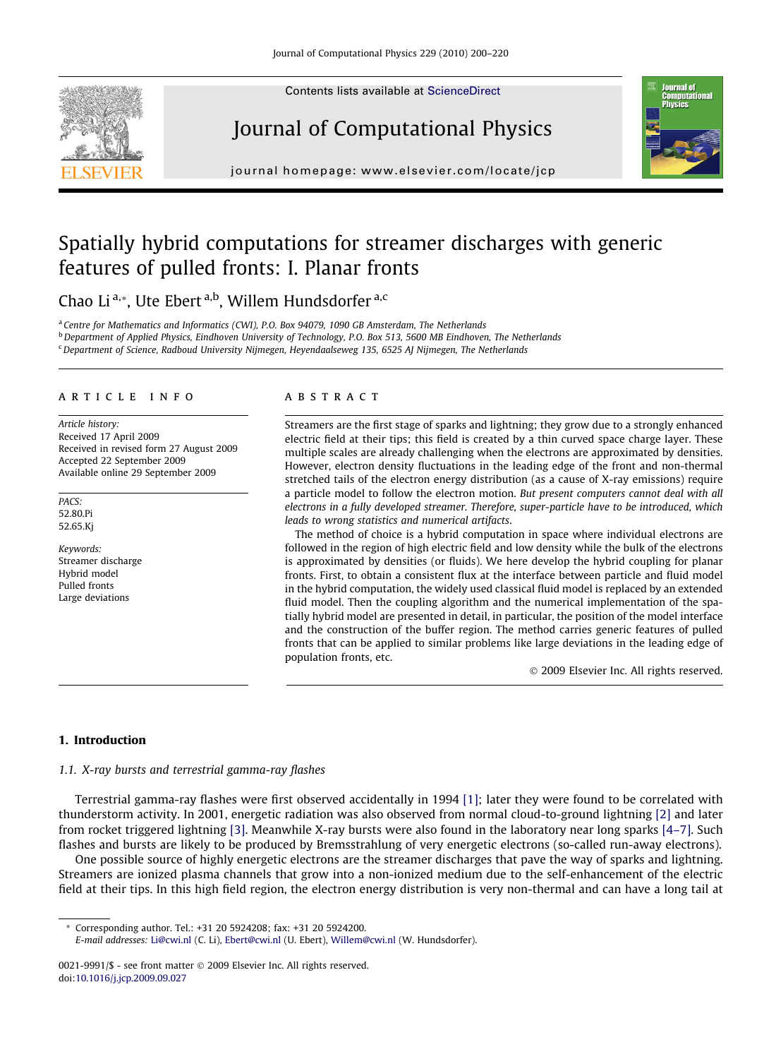Contents lists available at [ScienceDirect](http://www.sciencedirect.com/science/journal/00219991)



# Journal of Computational Physics



journal homepage: [www.elsevier.com/locate/jcp](http://www.elsevier.com/locate/jcp)

# Spatially hybrid computations for streamer discharges with generic features of pulled fronts: I. Planar fronts

Chao Li<sup>a,\*</sup>, Ute Ebert<sup>a,b</sup>, Willem Hundsdorfer<sup>a,c</sup>

<sup>a</sup> Centre for Mathematics and Informatics (CWI), P.O. Box 94079, 1090 GB Amsterdam, The Netherlands

**b** Department of Applied Physics, Eindhoven University of Technology, P.O. Box 513, 5600 MB Eindhoven, The Netherlands

<sup>c</sup> Department of Science, Radboud University Nijmegen, Heyendaalseweg 135, 6525 AJ Nijmegen, The Netherlands

# article info

Article history: Received 17 April 2009 Received in revised form 27 August 2009 Accepted 22 September 2009 Available online 29 September 2009

PACS: 52.80.Pi 52.65.Kj

Keywords: Streamer discharge Hybrid model Pulled fronts Large deviations

# **ABSTRACT**

Streamers are the first stage of sparks and lightning; they grow due to a strongly enhanced electric field at their tips; this field is created by a thin curved space charge layer. These multiple scales are already challenging when the electrons are approximated by densities. However, electron density fluctuations in the leading edge of the front and non-thermal stretched tails of the electron energy distribution (as a cause of X-ray emissions) require a particle model to follow the electron motion. But present computers cannot deal with all electrons in a fully developed streamer. Therefore, super-particle have to be introduced, which leads to wrong statistics and numerical artifacts.

The method of choice is a hybrid computation in space where individual electrons are followed in the region of high electric field and low density while the bulk of the electrons is approximated by densities (or fluids). We here develop the hybrid coupling for planar fronts. First, to obtain a consistent flux at the interface between particle and fluid model in the hybrid computation, the widely used classical fluid model is replaced by an extended fluid model. Then the coupling algorithm and the numerical implementation of the spatially hybrid model are presented in detail, in particular, the position of the model interface and the construction of the buffer region. The method carries generic features of pulled fronts that can be applied to similar problems like large deviations in the leading edge of population fronts, etc.

- 2009 Elsevier Inc. All rights reserved.

# 1. Introduction

#### 1.1. X-ray bursts and terrestrial gamma-ray flashes

Terrestrial gamma-ray flashes were first observed accidentally in 1994 [\[1\];](#page-19-0) later they were found to be correlated with thunderstorm activity. In 2001, energetic radiation was also observed from normal cloud-to-ground lightning [\[2\]](#page-19-0) and later from rocket triggered lightning [\[3\]](#page-19-0). Meanwhile X-ray bursts were also found in the laboratory near long sparks [\[4–7\].](#page-19-0) Such flashes and bursts are likely to be produced by Bremsstrahlung of very energetic electrons (so-called run-away electrons).

One possible source of highly energetic electrons are the streamer discharges that pave the way of sparks and lightning. Streamers are ionized plasma channels that grow into a non-ionized medium due to the self-enhancement of the electric field at their tips. In this high field region, the electron energy distribution is very non-thermal and can have a long tail at

\* Corresponding author. Tel.: +31 20 5924208; fax: +31 20 5924200.

E-mail addresses: [Li@cwi.nl](mailto:Li@cwi.nl) (C. Li), [Ebert@cwi.nl](mailto:Ebert@cwi.nl) (U. Ebert), [Willem@cwi.nl](mailto:Willem@cwi.nl) (W. Hundsdorfer).

<sup>0021-9991/\$ -</sup> see front matter © 2009 Elsevier Inc. All rights reserved. doi[:10.1016/j.jcp.2009.09.027](http://dx.doi.org/10.1016/j.jcp.2009.09.027)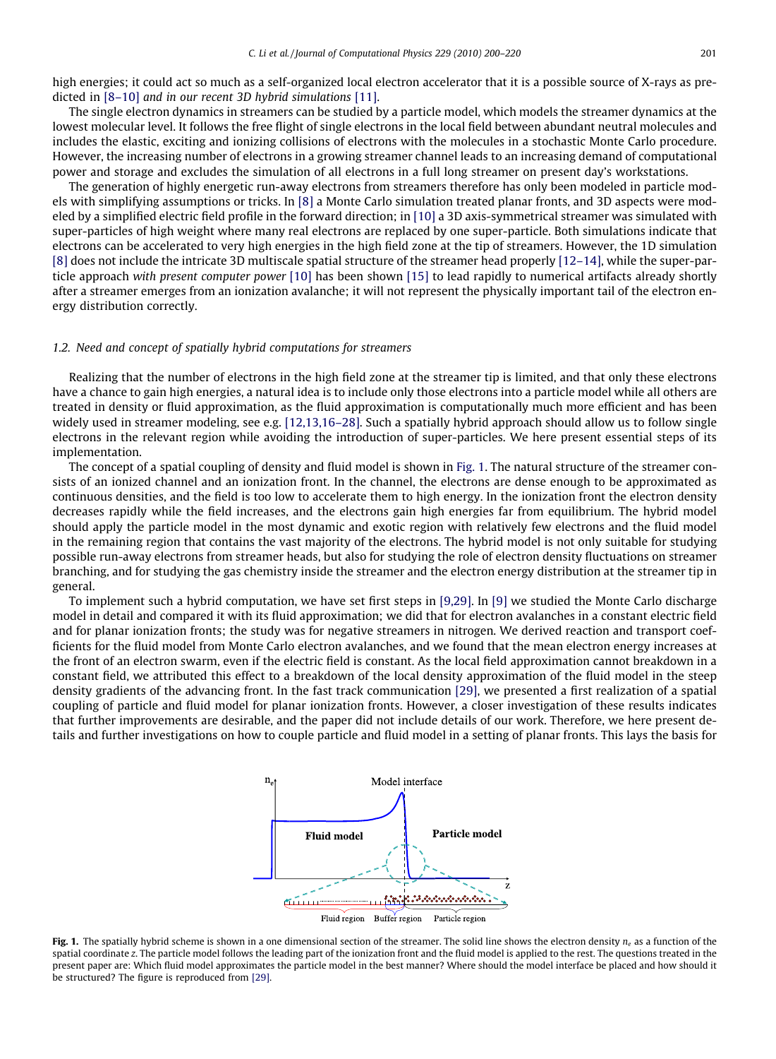<span id="page-1-0"></span>high energies; it could act so much as a self-organized local electron accelerator that it is a possible source of X-rays as predicted in [\[8–10\]](#page-19-0) and in our recent 3D hybrid simulations [\[11\].](#page-19-0)

The single electron dynamics in streamers can be studied by a particle model, which models the streamer dynamics at the lowest molecular level. It follows the free flight of single electrons in the local field between abundant neutral molecules and includes the elastic, exciting and ionizing collisions of electrons with the molecules in a stochastic Monte Carlo procedure. However, the increasing number of electrons in a growing streamer channel leads to an increasing demand of computational power and storage and excludes the simulation of all electrons in a full long streamer on present day's workstations.

The generation of highly energetic run-away electrons from streamers therefore has only been modeled in particle models with simplifying assumptions or tricks. In [\[8\]](#page-19-0) a Monte Carlo simulation treated planar fronts, and 3D aspects were modeled by a simplified electric field profile in the forward direction; in [\[10\]](#page-19-0) a 3D axis-symmetrical streamer was simulated with super-particles of high weight where many real electrons are replaced by one super-particle. Both simulations indicate that electrons can be accelerated to very high energies in the high field zone at the tip of streamers. However, the 1D simulation [\[8\]](#page-19-0) does not include the intricate 3D multiscale spatial structure of the streamer head properly [\[12–14\],](#page-19-0) while the super-particle approach with present computer power [\[10\]](#page-19-0) has been shown [\[15\]](#page-19-0) to lead rapidly to numerical artifacts already shortly after a streamer emerges from an ionization avalanche; it will not represent the physically important tail of the electron energy distribution correctly.

## 1.2. Need and concept of spatially hybrid computations for streamers

Realizing that the number of electrons in the high field zone at the streamer tip is limited, and that only these electrons have a chance to gain high energies, a natural idea is to include only those electrons into a particle model while all others are treated in density or fluid approximation, as the fluid approximation is computationally much more efficient and has been widely used in streamer modeling, see e.g. [\[12,13,16–28\].](#page-19-0) Such a spatially hybrid approach should allow us to follow single electrons in the relevant region while avoiding the introduction of super-particles. We here present essential steps of its implementation.

The concept of a spatial coupling of density and fluid model is shown in Fig. 1. The natural structure of the streamer consists of an ionized channel and an ionization front. In the channel, the electrons are dense enough to be approximated as continuous densities, and the field is too low to accelerate them to high energy. In the ionization front the electron density decreases rapidly while the field increases, and the electrons gain high energies far from equilibrium. The hybrid model should apply the particle model in the most dynamic and exotic region with relatively few electrons and the fluid model in the remaining region that contains the vast majority of the electrons. The hybrid model is not only suitable for studying possible run-away electrons from streamer heads, but also for studying the role of electron density fluctuations on streamer branching, and for studying the gas chemistry inside the streamer and the electron energy distribution at the streamer tip in general.

To implement such a hybrid computation, we have set first steps in [\[9,29\].](#page-19-0) In [\[9\]](#page-19-0) we studied the Monte Carlo discharge model in detail and compared it with its fluid approximation; we did that for electron avalanches in a constant electric field and for planar ionization fronts; the study was for negative streamers in nitrogen. We derived reaction and transport coefficients for the fluid model from Monte Carlo electron avalanches, and we found that the mean electron energy increases at the front of an electron swarm, even if the electric field is constant. As the local field approximation cannot breakdown in a constant field, we attributed this effect to a breakdown of the local density approximation of the fluid model in the steep density gradients of the advancing front. In the fast track communication [\[29\],](#page-19-0) we presented a first realization of a spatial coupling of particle and fluid model for planar ionization fronts. However, a closer investigation of these results indicates that further improvements are desirable, and the paper did not include details of our work. Therefore, we here present details and further investigations on how to couple particle and fluid model in a setting of planar fronts. This lays the basis for



Fig. 1. The spatially hybrid scheme is shown in a one dimensional section of the streamer. The solid line shows the electron density  $n_e$  as a function of the spatial coordinate z. The particle model follows the leading part of the ionization front and the fluid model is applied to the rest. The questions treated in the present paper are: Which fluid model approximates the particle model in the best manner? Where should the model interface be placed and how should it be structured? The figure is reproduced from [\[29\]](#page-19-0).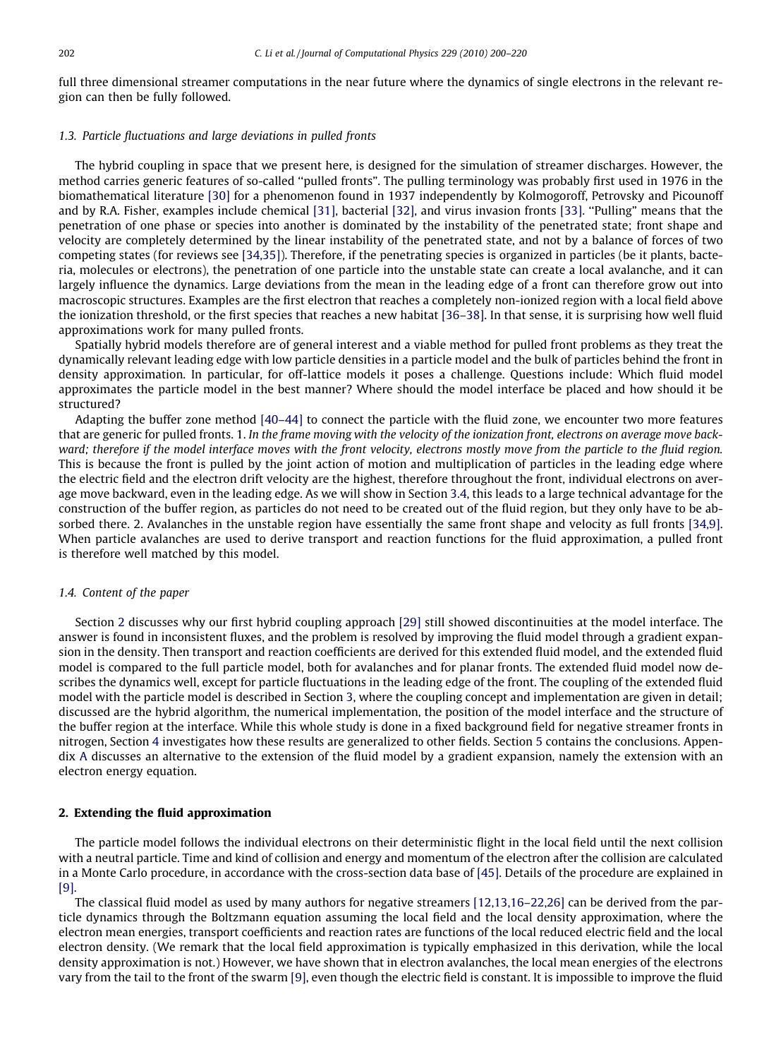full three dimensional streamer computations in the near future where the dynamics of single electrons in the relevant region can then be fully followed.

## 1.3. Particle fluctuations and large deviations in pulled fronts

The hybrid coupling in space that we present here, is designed for the simulation of streamer discharges. However, the method carries generic features of so-called ''pulled fronts". The pulling terminology was probably first used in 1976 in the biomathematical literature [\[30\]](#page-19-0) for a phenomenon found in 1937 independently by Kolmogoroff, Petrovsky and Picounoff and by R.A. Fisher, examples include chemical [\[31\]](#page-19-0), bacterial [\[32\],](#page-19-0) and virus invasion fronts [\[33\].](#page-19-0) ''Pulling" means that the penetration of one phase or species into another is dominated by the instability of the penetrated state; front shape and velocity are completely determined by the linear instability of the penetrated state, and not by a balance of forces of two competing states (for reviews see [\[34,35\]\)](#page-19-0). Therefore, if the penetrating species is organized in particles (be it plants, bacteria, molecules or electrons), the penetration of one particle into the unstable state can create a local avalanche, and it can largely influence the dynamics. Large deviations from the mean in the leading edge of a front can therefore grow out into macroscopic structures. Examples are the first electron that reaches a completely non-ionized region with a local field above the ionization threshold, or the first species that reaches a new habitat [\[36–38\].](#page-19-0) In that sense, it is surprising how well fluid approximations work for many pulled fronts.

Spatially hybrid models therefore are of general interest and a viable method for pulled front problems as they treat the dynamically relevant leading edge with low particle densities in a particle model and the bulk of particles behind the front in density approximation. In particular, for off-lattice models it poses a challenge. Questions include: Which fluid model approximates the particle model in the best manner? Where should the model interface be placed and how should it be structured?

Adapting the buffer zone method [\[40–44\]](#page-19-0) to connect the particle with the fluid zone, we encounter two more features that are generic for pulled fronts. 1. In the frame moving with the velocity of the ionization front, electrons on average move backward; therefore if the model interface moves with the front velocity, electrons mostly move from the particle to the fluid region. This is because the front is pulled by the joint action of motion and multiplication of particles in the leading edge where the electric field and the electron drift velocity are the highest, therefore throughout the front, individual electrons on average move backward, even in the leading edge. As we will show in Section 3.4, this leads to a large technical advantage for the construction of the buffer region, as particles do not need to be created out of the fluid region, but they only have to be absorbed there. 2. Avalanches in the unstable region have essentially the same front shape and velocity as full fronts [\[34,9\]](#page-19-0). When particle avalanches are used to derive transport and reaction functions for the fluid approximation, a pulled front is therefore well matched by this model.

#### 1.4. Content of the paper

Section 2 discusses why our first hybrid coupling approach [\[29\]](#page-19-0) still showed discontinuities at the model interface. The answer is found in inconsistent fluxes, and the problem is resolved by improving the fluid model through a gradient expansion in the density. Then transport and reaction coefficients are derived for this extended fluid model, and the extended fluid model is compared to the full particle model, both for avalanches and for planar fronts. The extended fluid model now describes the dynamics well, except for particle fluctuations in the leading edge of the front. The coupling of the extended fluid model with the particle model is described in Section 3, where the coupling concept and implementation are given in detail; discussed are the hybrid algorithm, the numerical implementation, the position of the model interface and the structure of the buffer region at the interface. While this whole study is done in a fixed background field for negative streamer fronts in nitrogen, Section 4 investigates how these results are generalized to other fields. Section 5 contains the conclusions. Appendix A discusses an alternative to the extension of the fluid model by a gradient expansion, namely the extension with an electron energy equation.

# 2. Extending the fluid approximation

The particle model follows the individual electrons on their deterministic flight in the local field until the next collision with a neutral particle. Time and kind of collision and energy and momentum of the electron after the collision are calculated in a Monte Carlo procedure, in accordance with the cross-section data base of [\[45\]](#page-19-0). Details of the procedure are explained in [\[9\].](#page-19-0)

The classical fluid model as used by many authors for negative streamers [\[12,13,16–22,26\]](#page-19-0) can be derived from the particle dynamics through the Boltzmann equation assuming the local field and the local density approximation, where the electron mean energies, transport coefficients and reaction rates are functions of the local reduced electric field and the local electron density. (We remark that the local field approximation is typically emphasized in this derivation, while the local density approximation is not.) However, we have shown that in electron avalanches, the local mean energies of the electrons vary from the tail to the front of the swarm [\[9\],](#page-19-0) even though the electric field is constant. It is impossible to improve the fluid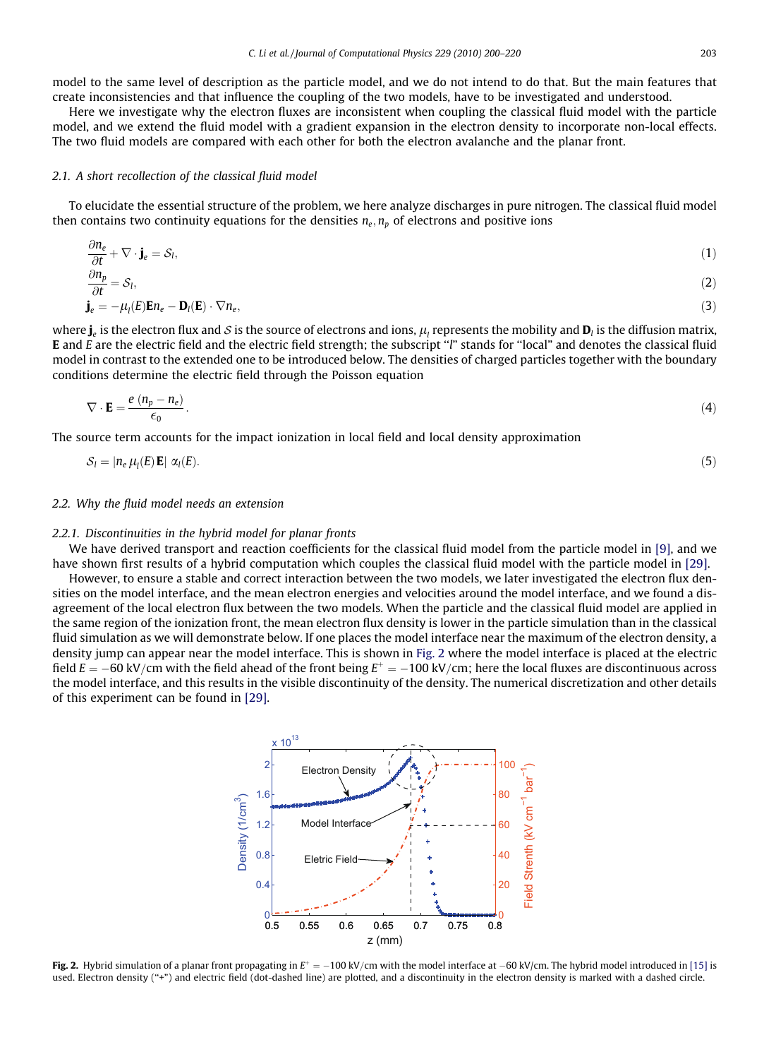<span id="page-3-0"></span>Here we investigate why the electron fluxes are inconsistent when coupling the classical fluid model with the particle model, and we extend the fluid model with a gradient expansion in the electron density to incorporate non-local effects. The two fluid models are compared with each other for both the electron avalanche and the planar front.

#### 2.1. A short recollection of the classical fluid model

To elucidate the essential structure of the problem, we here analyze discharges in pure nitrogen. The classical fluid model then contains two continuity equations for the densities  $n_e$ ,  $n_p$  of electrons and positive ions

$$
\frac{\partial n_e}{\partial t} + \nabla \cdot \mathbf{j}_e = \mathcal{S}_l,\tag{1}
$$

$$
\frac{\partial \Omega_p}{\partial t} = S_l,
$$
\n
$$
\mathbf{j}_e = -\mu_l(E)\mathbf{E}n_e - \mathbf{D}_l(E) \cdot \nabla n_e,
$$
\n(2)

where  $\mathbf{i}_e$  is the electron flux and S is the source of electrons and ions,  $\mu_i$  represents the mobility and  $\mathbf{D}_i$  is the diffusion matrix, E and E are the electric field and the electric field strength; the subscript ''l" stands for ''local" and denotes the classical fluid model in contrast to the extended one to be introduced below. The densities of charged particles together with the boundary conditions determine the electric field through the Poisson equation

$$
\nabla \cdot \mathbf{E} = \frac{e (n_p - n_e)}{\epsilon_0} \,. \tag{4}
$$

The source term accounts for the impact ionization in local field and local density approximation

$$
S_l = |n_e \mu_l(E) \mathbf{E}| \alpha_l(E). \tag{5}
$$

#### 2.2. Why the fluid model needs an extension

# 2.2.1. Discontinuities in the hybrid model for planar fronts

We have derived transport and reaction coefficients for the classical fluid model from the particle model in [\[9\],](#page-19-0) and we have shown first results of a hybrid computation which couples the classical fluid model with the particle model in [\[29\].](#page-19-0)

However, to ensure a stable and correct interaction between the two models, we later investigated the electron flux densities on the model interface, and the mean electron energies and velocities around the model interface, and we found a disagreement of the local electron flux between the two models. When the particle and the classical fluid model are applied in the same region of the ionization front, the mean electron flux density is lower in the particle simulation than in the classical fluid simulation as we will demonstrate below. If one places the model interface near the maximum of the electron density, a density jump can appear near the model interface. This is shown in Fig. 2 where the model interface is placed at the electric field  $E = -60 \text{ kV/cm}$  with the field ahead of the front being  $E^+ = -100 \text{ kV/cm}$ ; here the local fluxes are discontinuous across the model interface, and this results in the visible discontinuity of the density. The numerical discretization and other details of this experiment can be found in [\[29\]](#page-19-0).



Fig. 2. Hybrid simulation of a planar front propagating in  $E^+=-100$  kV/cm with the model interface at  $-60$  kV/cm. The hybrid model introduced in [\[15\]](#page-19-0) is used. Electron density (''+") and electric field (dot-dashed line) are plotted, and a discontinuity in the electron density is marked with a dashed circle.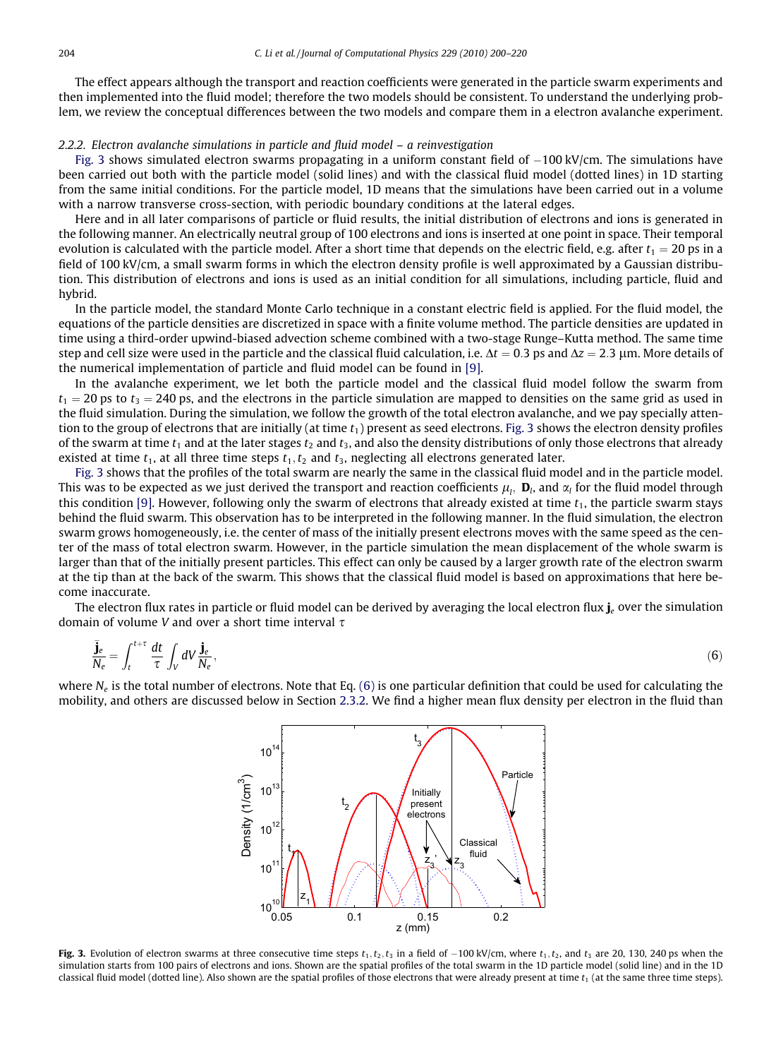<span id="page-4-0"></span>The effect appears although the transport and reaction coefficients were generated in the particle swarm experiments and then implemented into the fluid model; therefore the two models should be consistent. To understand the underlying problem, we review the conceptual differences between the two models and compare them in a electron avalanche experiment.

# 2.2.2. Electron avalanche simulations in particle and fluid model – a reinvestigation

Fig. 3 shows simulated electron swarms propagating in a uniform constant field of  $-100$  kV/cm. The simulations have been carried out both with the particle model (solid lines) and with the classical fluid model (dotted lines) in 1D starting from the same initial conditions. For the particle model, 1D means that the simulations have been carried out in a volume with a narrow transverse cross-section, with periodic boundary conditions at the lateral edges.

Here and in all later comparisons of particle or fluid results, the initial distribution of electrons and ions is generated in the following manner. An electrically neutral group of 100 electrons and ions is inserted at one point in space. Their temporal evolution is calculated with the particle model. After a short time that depends on the electric field, e.g. after  $t_1 = 20$  ps in a field of 100 kV/cm, a small swarm forms in which the electron density profile is well approximated by a Gaussian distribution. This distribution of electrons and ions is used as an initial condition for all simulations, including particle, fluid and hybrid.

In the particle model, the standard Monte Carlo technique in a constant electric field is applied. For the fluid model, the equations of the particle densities are discretized in space with a finite volume method. The particle densities are updated in time using a third-order upwind-biased advection scheme combined with a two-stage Runge–Kutta method. The same time step and cell size were used in the particle and the classical fluid calculation, i.e.  $\Delta t = 0.3$  ps and  $\Delta z = 2.3$  µm. More details of the numerical implementation of particle and fluid model can be found in [\[9\]](#page-19-0).

In the avalanche experiment, we let both the particle model and the classical fluid model follow the swarm from  $t_1$  = 20 ps to  $t_3$  = 240 ps, and the electrons in the particle simulation are mapped to densities on the same grid as used in the fluid simulation. During the simulation, we follow the growth of the total electron avalanche, and we pay specially attention to the group of electrons that are initially (at time  $t_1$ ) present as seed electrons. Fig. 3 shows the electron density profiles of the swarm at time  $t_1$  and at the later stages  $t_2$  and  $t_3$ , and also the density distributions of only those electrons that already existed at time  $t_1$ , at all three time steps  $t_1, t_2$  and  $t_3$ , neglecting all electrons generated later.

Fig. 3 shows that the profiles of the total swarm are nearly the same in the classical fluid model and in the particle model. This was to be expected as we just derived the transport and reaction coefficients  $\mu_l,~$  **D**<sub>l</sub>, and  $\alpha_l$  for the fluid model through this condition [\[9\].](#page-19-0) However, following only the swarm of electrons that already existed at time  $t_1$ , the particle swarm stays behind the fluid swarm. This observation has to be interpreted in the following manner. In the fluid simulation, the electron swarm grows homogeneously, i.e. the center of mass of the initially present electrons moves with the same speed as the center of the mass of total electron swarm. However, in the particle simulation the mean displacement of the whole swarm is larger than that of the initially present particles. This effect can only be caused by a larger growth rate of the electron swarm at the tip than at the back of the swarm. This shows that the classical fluid model is based on approximations that here become inaccurate.

The electron flux rates in particle or fluid model can be derived by averaging the local electron flux  $\mathbf{i}_e$  over the simulation domain of volume V and over a short time interval  $\tau$ 

$$
\frac{\bar{\mathbf{j}}_e}{N_e} = \int_t^{t+\tau} \frac{dt}{\tau} \int_V dV \frac{\mathbf{j}_e}{N_e},\tag{6}
$$

where  $N_e$  is the total number of electrons. Note that Eq. (6) is one particular definition that could be used for calculating the mobility, and others are discussed below in Section 2.3.2. We find a higher mean flux density per electron in the fluid than



Fig. 3. Evolution of electron swarms at three consecutive time steps  $t_1, t_2, t_3$  in a field of  $-100$  kV/cm, where  $t_1, t_2$ , and  $t_3$  are 20, 130, 240 ps when the simulation starts from 100 pairs of electrons and ions. Shown are the spatial profiles of the total swarm in the 1D particle model (solid line) and in the 1D classical fluid model (dotted line). Also shown are the spatial profiles of those electrons that were already present at time  $t_1$  (at the same three time steps).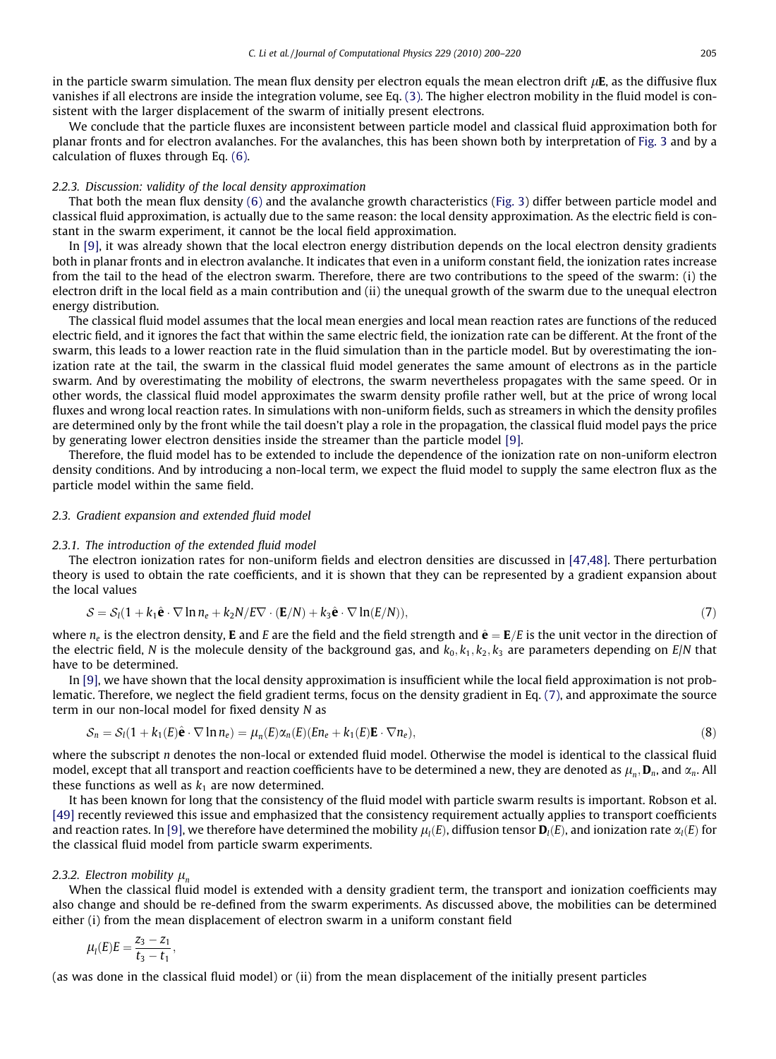<span id="page-5-0"></span>in the particle swarm simulation. The mean flux density per electron equals the mean electron drift  $\mu E$ , as the diffusive flux vanishes if all electrons are inside the integration volume, see Eq. (3). The higher electron mobility in the fluid model is consistent with the larger displacement of the swarm of initially present electrons.

We conclude that the particle fluxes are inconsistent between particle model and classical fluid approximation both for planar fronts and for electron avalanches. For the avalanches, this has been shown both by interpretation of [Fig. 3](#page-4-0) and by a calculation of fluxes through Eq. [\(6\)](#page-4-0).

## 2.2.3. Discussion: validity of the local density approximation

That both the mean flux density [\(6\)](#page-4-0) and the avalanche growth characteristics [\(Fig. 3](#page-4-0)) differ between particle model and classical fluid approximation, is actually due to the same reason: the local density approximation. As the electric field is constant in the swarm experiment, it cannot be the local field approximation.

In [\[9\]](#page-19-0), it was already shown that the local electron energy distribution depends on the local electron density gradients both in planar fronts and in electron avalanche. It indicates that even in a uniform constant field, the ionization rates increase from the tail to the head of the electron swarm. Therefore, there are two contributions to the speed of the swarm: (i) the electron drift in the local field as a main contribution and (ii) the unequal growth of the swarm due to the unequal electron energy distribution.

The classical fluid model assumes that the local mean energies and local mean reaction rates are functions of the reduced electric field, and it ignores the fact that within the same electric field, the ionization rate can be different. At the front of the swarm, this leads to a lower reaction rate in the fluid simulation than in the particle model. But by overestimating the ionization rate at the tail, the swarm in the classical fluid model generates the same amount of electrons as in the particle swarm. And by overestimating the mobility of electrons, the swarm nevertheless propagates with the same speed. Or in other words, the classical fluid model approximates the swarm density profile rather well, but at the price of wrong local fluxes and wrong local reaction rates. In simulations with non-uniform fields, such as streamers in which the density profiles are determined only by the front while the tail doesn't play a role in the propagation, the classical fluid model pays the price by generating lower electron densities inside the streamer than the particle model [\[9\]](#page-19-0).

Therefore, the fluid model has to be extended to include the dependence of the ionization rate on non-uniform electron density conditions. And by introducing a non-local term, we expect the fluid model to supply the same electron flux as the particle model within the same field.

## 2.3. Gradient expansion and extended fluid model

#### 2.3.1. The introduction of the extended fluid model

The electron ionization rates for non-uniform fields and electron densities are discussed in [\[47,48\]](#page-19-0). There perturbation theory is used to obtain the rate coefficients, and it is shown that they can be represented by a gradient expansion about the local values

$$
S = S_l(1 + k_1 \hat{\mathbf{e}} \cdot \nabla \ln n_e + k_2 N / E \nabla \cdot (\mathbf{E}/N) + k_3 \hat{\mathbf{e}} \cdot \nabla \ln(E/N)),
$$
\n(7)

where  $n_e$  is the electron density, **E** and E are the field and the field strength and  $\hat{\bf{e}} = {\bf{E}}/E$  is the unit vector in the direction of the electric field, N is the molecule density of the background gas, and  $k_0, k_1, k_2, k_3$  are parameters depending on  $E/N$  that have to be determined.

In [\[9\],](#page-19-0) we have shown that the local density approximation is insufficient while the local field approximation is not problematic. Therefore, we neglect the field gradient terms, focus on the density gradient in Eq. (7), and approximate the source term in our non-local model for fixed density N as

$$
S_n = S_l(1 + k_1(E)\hat{\mathbf{e}} \cdot \nabla \ln n_e) = \mu_n(E)\alpha_n(E)(En_e + k_1(E)\mathbf{E} \cdot \nabla n_e),
$$
\n(8)

where the subscript n denotes the non-local or extended fluid model. Otherwise the model is identical to the classical fluid model, except that all transport and reaction coefficients have to be determined a new, they are denoted as  $\mu_n$ ,  $\mathbf{D}_n$ , and  $\alpha_n$ . All these functions as well as  $k_1$  are now determined.

It has been known for long that the consistency of the fluid model with particle swarm results is important. Robson et al. [\[49\]](#page-20-0) recently reviewed this issue and emphasized that the consistency requirement actually applies to transport coefficients and reaction rates. In [\[9\]](#page-19-0), we therefore have determined the mobility  $\mu_l(E)$ , diffusion tensor  $\bm D_l(E)$ , and ionization rate  $\alpha_l(E)$  for the classical fluid model from particle swarm experiments.

# 2.3.2. Electron mobility  $\mu_n$

When the classical fluid model is extended with a density gradient term, the transport and ionization coefficients may also change and should be re-defined from the swarm experiments. As discussed above, the mobilities can be determined either (i) from the mean displacement of electron swarm in a uniform constant field

$$
\mu_l(E)E=\frac{z_3-z_1}{t_3-t_1},
$$

(as was done in the classical fluid model) or (ii) from the mean displacement of the initially present particles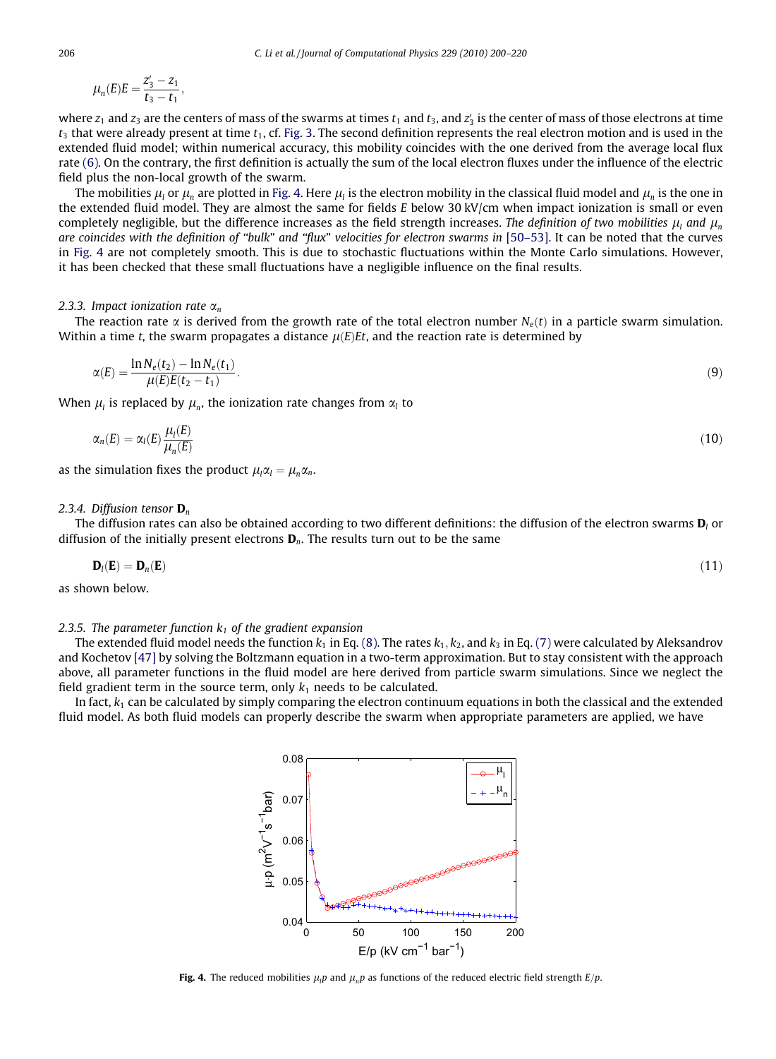<span id="page-6-0"></span>
$$
\mu_n(E)E = \frac{z_3' - z_1}{t_3 - t_1},
$$

where  $z_1$  and  $z_3$  are the centers of mass of the swarms at times  $t_1$  and  $t_3$ , and  $z_3^\prime$  is the center of mass of those electrons at time  $t_3$  that were already present at time  $t_1$ , cf. [Fig. 3](#page-4-0). The second definition represents the real electron motion and is used in the extended fluid model; within numerical accuracy, this mobility coincides with the one derived from the average local flux rate [\(6\).](#page-4-0) On the contrary, the first definition is actually the sum of the local electron fluxes under the influence of the electric field plus the non-local growth of the swarm.

The mobilities  $\mu_l$  or  $\mu_n$  are plotted in Fig. 4. Here  $\mu_l$  is the electron mobility in the classical fluid model and  $\mu_n$  is the one in the extended fluid model. They are almost the same for fields E below 30 kV/cm when impact ionization is small or even completely negligible, but the difference increases as the field strength increases. The definition of two mobilities  $\mu$ , and  $\mu$ are coincides with the definition of ''bulk" and ''flux" velocities for electron swarms in [\[50–53\].](#page-20-0) It can be noted that the curves in Fig. 4 are not completely smooth. This is due to stochastic fluctuations within the Monte Carlo simulations. However, it has been checked that these small fluctuations have a negligible influence on the final results.

#### 2.3.3. Impact ionization rate  $\alpha_n$

The reaction rate  $\alpha$  is derived from the growth rate of the total electron number  $N_e(t)$  in a particle swarm simulation. Within a time t, the swarm propagates a distance  $\mu(E)Et$ , and the reaction rate is determined by

$$
\alpha(E) = \frac{\ln N_e(t_2) - \ln N_e(t_1)}{\mu(E)E(t_2 - t_1)}.\tag{9}
$$

When  $\mu_l$  is replaced by  $\mu_n$ , the ionization rate changes from  $\alpha_l$  to

$$
\alpha_n(E) = \alpha_l(E) \frac{\mu_l(E)}{\mu_n(E)} \tag{10}
$$

as the simulation fixes the product  $\mu_l \alpha_l = \mu_n \alpha_n$ .

#### 2.3.4. Diffusion tensor  $\mathbf{D}_n$

The diffusion rates can also be obtained according to two different definitions: the diffusion of the electron swarms  $D_l$  or diffusion of the initially present electrons  $D_n$ . The results turn out to be the same

$$
\mathbf{D}_l(\mathbf{E}) = \mathbf{D}_n(\mathbf{E}) \tag{11}
$$

as shown below.

#### 2.3.5. The parameter function  $k_1$  of the gradient expansion

The extended fluid model needs the function  $k_1$  in Eq. [\(8\).](#page-5-0) The rates  $k_1, k_2$ , and  $k_3$  in Eq. [\(7\)](#page-5-0) were calculated by Aleksandrov and Kochetov [\[47\]](#page-19-0) by solving the Boltzmann equation in a two-term approximation. But to stay consistent with the approach above, all parameter functions in the fluid model are here derived from particle swarm simulations. Since we neglect the field gradient term in the source term, only  $k_1$  needs to be calculated.

In fact,  $k_1$  can be calculated by simply comparing the electron continuum equations in both the classical and the extended fluid model. As both fluid models can properly describe the swarm when appropriate parameters are applied, we have



Fig. 4. The reduced mobilities  $\mu_l p$  and  $\mu_n p$  as functions of the reduced electric field strength  $E/p$ .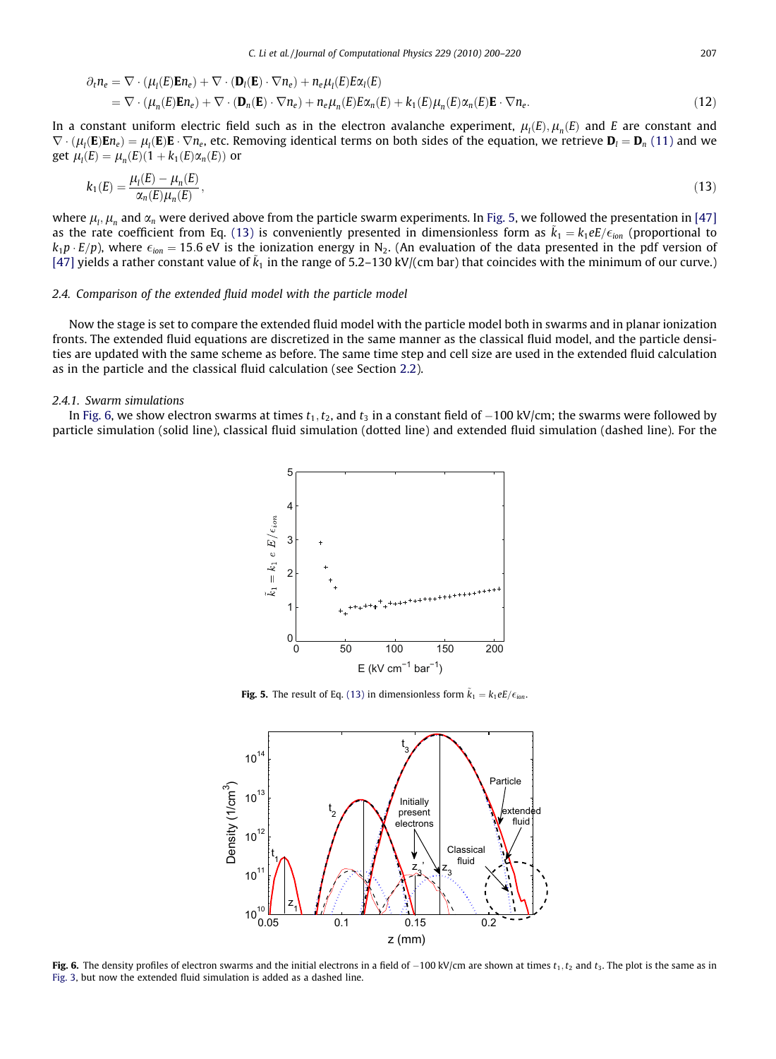<span id="page-7-0"></span>
$$
\partial_t n_e = \nabla \cdot (\mu_l(E) \mathbf{E} n_e) + \nabla \cdot (\mathbf{D}_l(\mathbf{E}) \cdot \nabla n_e) + n_e \mu_l(E) E \alpha_l(E)
$$
  
=  $\nabla \cdot (\mu_n(E) \mathbf{E} n_e) + \nabla \cdot (\mathbf{D}_n(\mathbf{E}) \cdot \nabla n_e) + n_e \mu_n(E) E \alpha_n(E) + k_1(E) \mu_n(E) \alpha_n(E) \mathbf{E} \cdot \nabla n_e.$  (12)

In a constant uniform electric field such as in the electron avalanche experiment,  $\mu_l(E), \mu_n(E)$  and E are constant and  $\nabla\cdot(\mu_l(\mathbf{E})\mathbf{E}n_e)=\mu_l(\mathbf{E})\mathbf{E}\cdot\nabla n_e$ , etc. Removing identical terms on both sides of the equation, we retrieve  $\mathbf{D}_l=\mathbf{D}_n$  [\(11\)](#page-6-0) and we get  $\mu_l(E) = \mu_n(E)(1 + k_1(E)\alpha_n(E))$  or

$$
k_1(E) = \frac{\mu_I(E) - \mu_n(E)}{\alpha_n(E)\mu_n(E)},
$$
\n(13)

where  $\mu_l,\mu_n$  and  $\alpha_n$  were derived above from the particle swarm experiments. In Fig. 5, we followed the presentation in [\[47\]](#page-19-0) as the rate coefficient from Eq. (13) is conveniently presented in dimensionless form as  $\tilde{k}_1 = k_1 e E/\epsilon_{ion}$  (proportional to  $k_1p \cdot E/p$ ), where  $\epsilon_{ion} = 15.6$  eV is the ionization energy in N<sub>2</sub>. (An evaluation of the data presented in the pdf version of [\[47\]](#page-19-0) yields a rather constant value of  $\tilde k_1$  in the range of 5.2–130 kV/(cm bar) that coincides with the minimum of our curve.)

# 2.4. Comparison of the extended fluid model with the particle model

Now the stage is set to compare the extended fluid model with the particle model both in swarms and in planar ionization fronts. The extended fluid equations are discretized in the same manner as the classical fluid model, and the particle densities are updated with the same scheme as before. The same time step and cell size are used in the extended fluid calculation as in the particle and the classical fluid calculation (see Section 2.2).

# 2.4.1. Swarm simulations

In Fig. 6, we show electron swarms at times  $t_1, t_2$ , and  $t_3$  in a constant field of  $-100 \text{ kV/cm}$ ; the swarms were followed by particle simulation (solid line), classical fluid simulation (dotted line) and extended fluid simulation (dashed line). For the



**Fig. 5.** The result of Eq. (13) in dimensionless form  $\tilde{k}_1 = k_1 e E / \epsilon_{ion}$ .



Fig. 6. The density profiles of electron swarms and the initial electrons in a field of  $-100$  kV/cm are shown at times  $t_1, t_2$  and  $t_3$ . The plot is the same as in [Fig. 3](#page-4-0), but now the extended fluid simulation is added as a dashed line.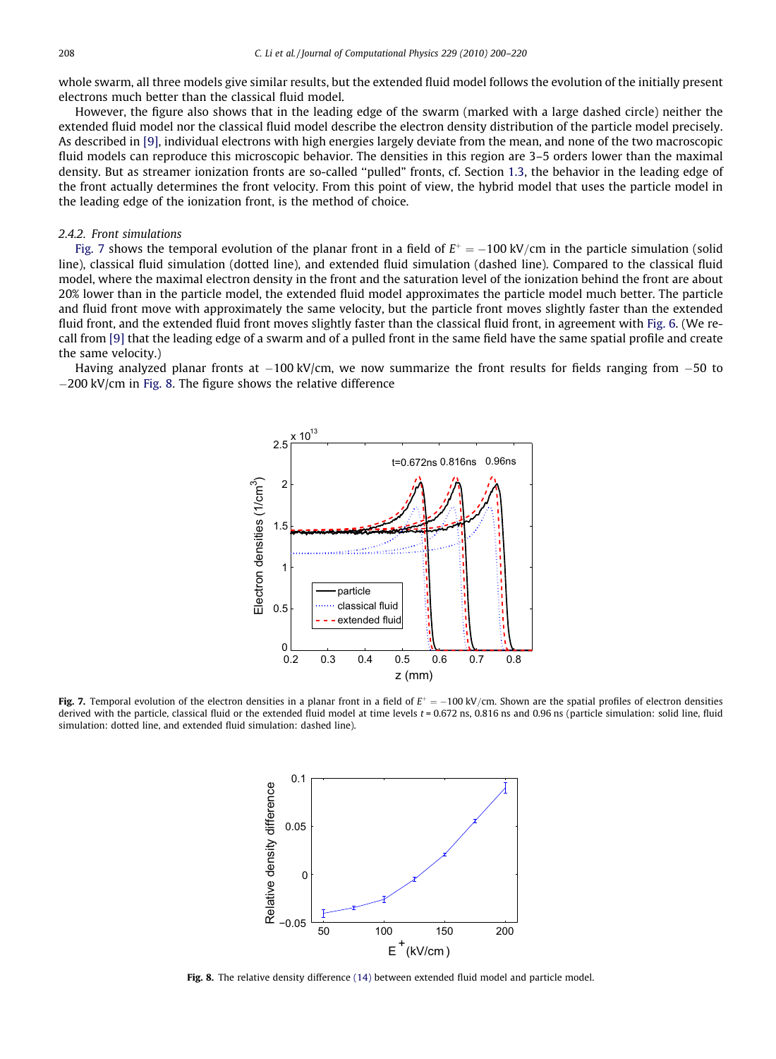<span id="page-8-0"></span>whole swarm, all three models give similar results, but the extended fluid model follows the evolution of the initially present electrons much better than the classical fluid model.

However, the figure also shows that in the leading edge of the swarm (marked with a large dashed circle) neither the extended fluid model nor the classical fluid model describe the electron density distribution of the particle model precisely. As described in [\[9\]](#page-19-0), individual electrons with high energies largely deviate from the mean, and none of the two macroscopic fluid models can reproduce this microscopic behavior. The densities in this region are 3–5 orders lower than the maximal density. But as streamer ionization fronts are so-called ''pulled" fronts, cf. Section 1.3, the behavior in the leading edge of the front actually determines the front velocity. From this point of view, the hybrid model that uses the particle model in the leading edge of the ionization front, is the method of choice.

# 242 Front simulations

Fig. 7 shows the temporal evolution of the planar front in a field of  $E^+ = -100 \text{ kV/cm}$  in the particle simulation (solid line), classical fluid simulation (dotted line), and extended fluid simulation (dashed line). Compared to the classical fluid model, where the maximal electron density in the front and the saturation level of the ionization behind the front are about 20% lower than in the particle model, the extended fluid model approximates the particle model much better. The particle and fluid front move with approximately the same velocity, but the particle front moves slightly faster than the extended fluid front, and the extended fluid front moves slightly faster than the classical fluid front, in agreement with [Fig. 6](#page-7-0). (We recall from [\[9\]](#page-19-0) that the leading edge of a swarm and of a pulled front in the same field have the same spatial profile and create the same velocity.)

Having analyzed planar fronts at  $-100$  kV/cm, we now summarize the front results for fields ranging from  $-50$  to  $-200$  kV/cm in Fig. 8. The figure shows the relative difference



Fig. 7. Temporal evolution of the electron densities in a planar front in a field of  $E^+=-100 \text{ kV/cm}$ . Shown are the spatial profiles of electron densities derived with the particle, classical fluid or the extended fluid model at time levels  $t = 0.672$  ns,  $0.816$  ns and  $0.96$  ns (particle simulation: solid line, fluid simulation: dotted line, and extended fluid simulation: dashed line).



Fig. 8. The relative density difference [\(14\)](#page-9-0) between extended fluid model and particle model.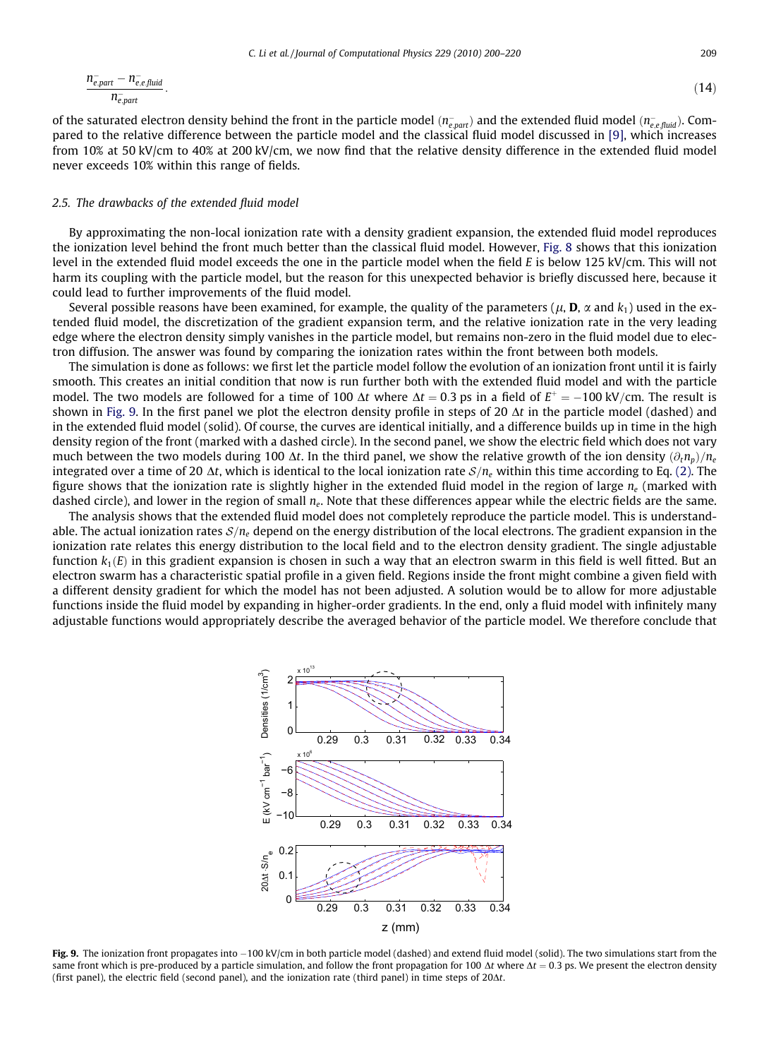<span id="page-9-0"></span>
$$
\frac{n_{e,part}^{-} - n_{e,e,fluid}^{-}}{n_{e,part}}.\tag{14}
$$

of the saturated electron density behind the front in the particle model ( $n_{e,part}^-$ ) and the extended fluid model ( $n_{e, e, fluid}^-$ ). Compared to the relative difference between the particle model and the classical fluid model discussed in [\[9\],](#page-19-0) which increases from 10% at 50 kV/cm to 40% at 200 kV/cm, we now find that the relative density difference in the extended fluid model never exceeds 10% within this range of fields.

#### 2.5. The drawbacks of the extended fluid model

By approximating the non-local ionization rate with a density gradient expansion, the extended fluid model reproduces the ionization level behind the front much better than the classical fluid model. However, [Fig. 8](#page-8-0) shows that this ionization level in the extended fluid model exceeds the one in the particle model when the field E is below 125 kV/cm. This will not harm its coupling with the particle model, but the reason for this unexpected behavior is briefly discussed here, because it could lead to further improvements of the fluid model.

Several possible reasons have been examined, for example, the quality of the parameters ( $\mu$ , **D**,  $\alpha$  and  $k_1$ ) used in the extended fluid model, the discretization of the gradient expansion term, and the relative ionization rate in the very leading edge where the electron density simply vanishes in the particle model, but remains non-zero in the fluid model due to electron diffusion. The answer was found by comparing the ionization rates within the front between both models.

The simulation is done as follows: we first let the particle model follow the evolution of an ionization front until it is fairly smooth. This creates an initial condition that now is run further both with the extended fluid model and with the particle model. The two models are followed for a time of 100  $\Delta t$  where  $\Delta t = 0.3$  ps in a field of  $E^+ = -100$  kV/cm. The result is shown in Fig. 9. In the first panel we plot the electron density profile in steps of 20  $\Delta t$  in the particle model (dashed) and in the extended fluid model (solid). Of course, the curves are identical initially, and a difference builds up in time in the high density region of the front (marked with a dashed circle). In the second panel, we show the electric field which does not vary much between the two models during 100  $\Delta t$ . In the third panel, we show the relative growth of the ion density  $(\partial_t n_p)/n_e$ integrated over a time of 20  $\Delta t$ , which is identical to the local ionization rate  $S/n_e$  within this time according to Eq. (2). The figure shows that the ionization rate is slightly higher in the extended fluid model in the region of large  $n_e$  (marked with dashed circle), and lower in the region of small  $n_e$ . Note that these differences appear while the electric fields are the same.

The analysis shows that the extended fluid model does not completely reproduce the particle model. This is understandable. The actual ionization rates  $S/n_e$  depend on the energy distribution of the local electrons. The gradient expansion in the ionization rate relates this energy distribution to the local field and to the electron density gradient. The single adjustable function  $k_1(E)$  in this gradient expansion is chosen in such a way that an electron swarm in this field is well fitted. But an electron swarm has a characteristic spatial profile in a given field. Regions inside the front might combine a given field with a different density gradient for which the model has not been adjusted. A solution would be to allow for more adjustable functions inside the fluid model by expanding in higher-order gradients. In the end, only a fluid model with infinitely many adjustable functions would appropriately describe the averaged behavior of the particle model. We therefore conclude that



Fig. 9. The ionization front propagates into  $-100$  kV/cm in both particle model (dashed) and extend fluid model (solid). The two simulations start from the same front which is pre-produced by a particle simulation, and follow the front propagation for 100  $\Delta t$  where  $\Delta t = 0.3$  ps. We present the electron density (first panel), the electric field (second panel), and the ionization rate (third panel) in time steps of  $20\Delta t$ .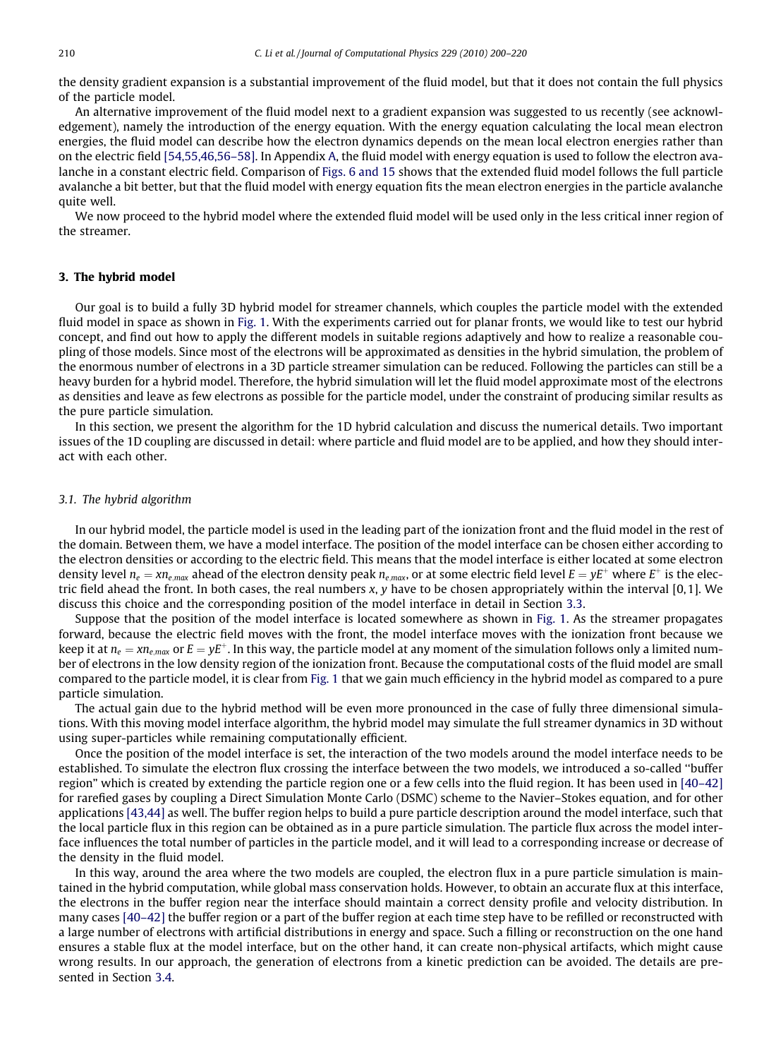the density gradient expansion is a substantial improvement of the fluid model, but that it does not contain the full physics of the particle model.

An alternative improvement of the fluid model next to a gradient expansion was suggested to us recently (see acknowledgement), namely the introduction of the energy equation. With the energy equation calculating the local mean electron energies, the fluid model can describe how the electron dynamics depends on the mean local electron energies rather than on the electric field [\[54,55,46,56–58\]](#page-20-0). In Appendix A, the fluid model with energy equation is used to follow the electron avalanche in a constant electric field. Comparison of [Figs. 6 and 15](#page-7-0) shows that the extended fluid model follows the full particle avalanche a bit better, but that the fluid model with energy equation fits the mean electron energies in the particle avalanche quite well.

We now proceed to the hybrid model where the extended fluid model will be used only in the less critical inner region of the streamer.

## 3. The hybrid model

Our goal is to build a fully 3D hybrid model for streamer channels, which couples the particle model with the extended fluid model in space as shown in [Fig. 1.](#page-1-0) With the experiments carried out for planar fronts, we would like to test our hybrid concept, and find out how to apply the different models in suitable regions adaptively and how to realize a reasonable coupling of those models. Since most of the electrons will be approximated as densities in the hybrid simulation, the problem of the enormous number of electrons in a 3D particle streamer simulation can be reduced. Following the particles can still be a heavy burden for a hybrid model. Therefore, the hybrid simulation will let the fluid model approximate most of the electrons as densities and leave as few electrons as possible for the particle model, under the constraint of producing similar results as the pure particle simulation.

In this section, we present the algorithm for the 1D hybrid calculation and discuss the numerical details. Two important issues of the 1D coupling are discussed in detail: where particle and fluid model are to be applied, and how they should interact with each other.

## 3.1. The hybrid algorithm

In our hybrid model, the particle model is used in the leading part of the ionization front and the fluid model in the rest of the domain. Between them, we have a model interface. The position of the model interface can be chosen either according to the electron densities or according to the electric field. This means that the model interface is either located at some electron density level  $n_e = x n_{emax}$  ahead of the electron density peak  $n_{emax}$ , or at some electric field level  $E = yE^+$  where  $E^+$  is the electric field ahead the front. In both cases, the real numbers x, y have to be chosen appropriately within the interval [0,1]. We discuss this choice and the corresponding position of the model interface in detail in Section 3.3.

Suppose that the position of the model interface is located somewhere as shown in [Fig. 1](#page-1-0). As the streamer propagates forward, because the electric field moves with the front, the model interface moves with the ionization front because we keep it at  $n_e = x n_{e,max}$  or  $E = vE^+$ . In this way, the particle model at any moment of the simulation follows only a limited number of electrons in the low density region of the ionization front. Because the computational costs of the fluid model are small compared to the particle model, it is clear from [Fig. 1](#page-1-0) that we gain much efficiency in the hybrid model as compared to a pure particle simulation.

The actual gain due to the hybrid method will be even more pronounced in the case of fully three dimensional simulations. With this moving model interface algorithm, the hybrid model may simulate the full streamer dynamics in 3D without using super-particles while remaining computationally efficient.

Once the position of the model interface is set, the interaction of the two models around the model interface needs to be established. To simulate the electron flux crossing the interface between the two models, we introduced a so-called ''buffer region" which is created by extending the particle region one or a few cells into the fluid region. It has been used in [\[40–42\]](#page-19-0) for rarefied gases by coupling a Direct Simulation Monte Carlo (DSMC) scheme to the Navier–Stokes equation, and for other applications [\[43,44\]](#page-19-0) as well. The buffer region helps to build a pure particle description around the model interface, such that the local particle flux in this region can be obtained as in a pure particle simulation. The particle flux across the model interface influences the total number of particles in the particle model, and it will lead to a corresponding increase or decrease of the density in the fluid model.

In this way, around the area where the two models are coupled, the electron flux in a pure particle simulation is maintained in the hybrid computation, while global mass conservation holds. However, to obtain an accurate flux at this interface, the electrons in the buffer region near the interface should maintain a correct density profile and velocity distribution. In many cases [\[40–42\]](#page-19-0) the buffer region or a part of the buffer region at each time step have to be refilled or reconstructed with a large number of electrons with artificial distributions in energy and space. Such a filling or reconstruction on the one hand ensures a stable flux at the model interface, but on the other hand, it can create non-physical artifacts, which might cause wrong results. In our approach, the generation of electrons from a kinetic prediction can be avoided. The details are presented in Section 3.4.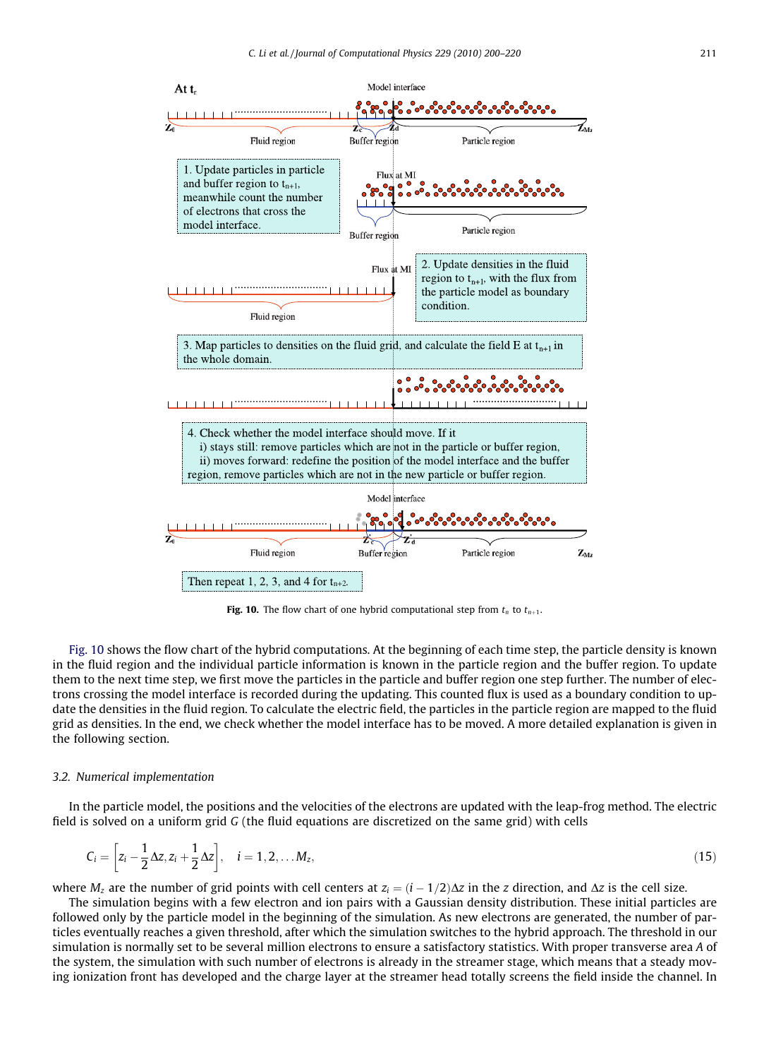<span id="page-11-0"></span>

Fig. 10. The flow chart of one hybrid computational step from  $t_n$  to  $t_{n+1}$ .

Fig. 10 shows the flow chart of the hybrid computations. At the beginning of each time step, the particle density is known in the fluid region and the individual particle information is known in the particle region and the buffer region. To update them to the next time step, we first move the particles in the particle and buffer region one step further. The number of electrons crossing the model interface is recorded during the updating. This counted flux is used as a boundary condition to update the densities in the fluid region. To calculate the electric field, the particles in the particle region are mapped to the fluid grid as densities. In the end, we check whether the model interface has to be moved. A more detailed explanation is given in the following section.

### 3.2. Numerical implementation

In the particle model, the positions and the velocities of the electrons are updated with the leap-frog method. The electric field is solved on a uniform grid G (the fluid equations are discretized on the same grid) with cells

$$
C_i = \left[ z_i - \frac{1}{2} \Delta z, z_i + \frac{1}{2} \Delta z \right], \quad i = 1, 2, \dots M_z,
$$
\n(15)

where  $M_z$  are the number of grid points with cell centers at  $z_i = (i - 1/2)\Delta z$  in the z direction, and  $\Delta z$  is the cell size.

The simulation begins with a few electron and ion pairs with a Gaussian density distribution. These initial particles are followed only by the particle model in the beginning of the simulation. As new electrons are generated, the number of particles eventually reaches a given threshold, after which the simulation switches to the hybrid approach. The threshold in our simulation is normally set to be several million electrons to ensure a satisfactory statistics. With proper transverse area A of the system, the simulation with such number of electrons is already in the streamer stage, which means that a steady moving ionization front has developed and the charge layer at the streamer head totally screens the field inside the channel. In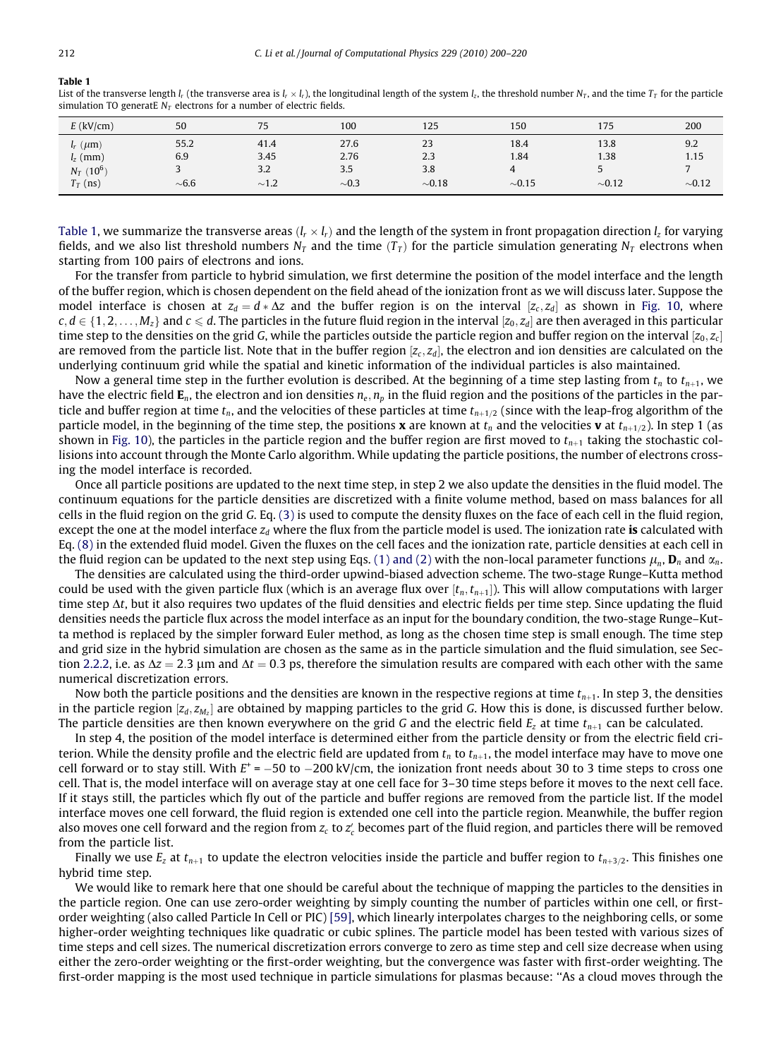# Table 1

List of the transverse length  $l_r$  (the transverse area is  $l_r \times l_r$ ), the longitudinal length of the system  $l_z$ , the threshold number  $N_T$ , and the time  $T_T$  for the particle simulation TO generatE  $N_T$  electrons for a number of electric fields.

| $E$ (kV/cm)              | 50         | 75         | 100        | 125         | 150         | 175         | 200         |
|--------------------------|------------|------------|------------|-------------|-------------|-------------|-------------|
| $l_r$ ( $\mu$ m)         | 55.2       | 41.4       | 27.6       | 23          | 18.4        | 13.8        | 9.2         |
| $l_z$ (mm)               | 6.9        | 3.45       | 2.76       | 2.3         | 1.84        | 1.38        | 1.15        |
| $N_T$ (10 <sup>6</sup> ) |            | 3.2        | 3.5        | 3.8         |             |             |             |
| $T_T$ (ns)               | $\sim 6.6$ | $\sim$ 1.2 | $\sim 0.3$ | $\sim 0.18$ | $\sim 0.15$ | $\sim 0.12$ | $\sim 0.12$ |

Table 1, we summarize the transverse areas  $(l_r \times l_r)$  and the length of the system in front propagation direction l, for varying fields, and we also list threshold numbers  $N_T$  and the time  $(T_T)$  for the particle simulation generating  $N_T$  electrons when starting from 100 pairs of electrons and ions.

For the transfer from particle to hybrid simulation, we first determine the position of the model interface and the length of the buffer region, which is chosen dependent on the field ahead of the ionization front as we will discuss later. Suppose the model interface is chosen at  $z_d = d * \Delta z$  and the buffer region is on the interval  $[z_c, z_d]$  as shown in [Fig. 10](#page-11-0), where  $c, d \in \{1, 2, \ldots, M_z\}$  and  $c \le d$ . The particles in the future fluid region in the interval  $[z_0, z_d]$  are then averaged in this particular time step to the densities on the grid G, while the particles outside the particle region and buffer region on the interval  $[z_0, z_c]$ are removed from the particle list. Note that in the buffer region  $[z_c, z_d]$ , the electron and ion densities are calculated on the underlying continuum grid while the spatial and kinetic information of the individual particles is also maintained.

Now a general time step in the further evolution is described. At the beginning of a time step lasting from  $t_n$  to  $t_{n+1}$ , we have the electric field  $E_n$ , the electron and ion densities  $n_e$ ,  $n_p$  in the fluid region and the positions of the particles in the particle and buffer region at time  $t_n$ , and the velocities of these particles at time  $t_{n+1/2}$  (since with the leap-frog algorithm of the particle model, in the beginning of the time step, the positions **x** are known at  $t_n$  and the velocities **v** at  $t_{n+1/2}$ ). In step 1 (as shown in [Fig. 10\)](#page-11-0), the particles in the particle region and the buffer region are first moved to  $t_{n+1}$  taking the stochastic collisions into account through the Monte Carlo algorithm. While updating the particle positions, the number of electrons crossing the model interface is recorded.

Once all particle positions are updated to the next time step, in step 2 we also update the densities in the fluid model. The continuum equations for the particle densities are discretized with a finite volume method, based on mass balances for all cells in the fluid region on the grid G. Eq. (3) is used to compute the density fluxes on the face of each cell in the fluid region, except the one at the model interface  $z_d$  where the flux from the particle model is used. The ionization rate is calculated with Eq. [\(8\)](#page-5-0) in the extended fluid model. Given the fluxes on the cell faces and the ionization rate, particle densities at each cell in the fluid region can be updated to the next step using Eqs. [\(1\) and \(2\)](#page-3-0) with the non-local parameter functions  $\mu_n$ ,  $\mathbf{D}_n$  and  $\alpha_n$ .

The densities are calculated using the third-order upwind-biased advection scheme. The two-stage Runge–Kutta method could be used with the given particle flux (which is an average flux over  $[t_n,t_{n+1}]$ ). This will allow computations with larger time step  $\Delta t$ , but it also requires two updates of the fluid densities and electric fields per time step. Since updating the fluid densities needs the particle flux across the model interface as an input for the boundary condition, the two-stage Runge–Kutta method is replaced by the simpler forward Euler method, as long as the chosen time step is small enough. The time step and grid size in the hybrid simulation are chosen as the same as in the particle simulation and the fluid simulation, see Section 2.2.2, i.e. as  $\Delta z = 2.3$  µm and  $\Delta t = 0.3$  ps, therefore the simulation results are compared with each other with the same numerical discretization errors.

Now both the particle positions and the densities are known in the respective regions at time  $t_{n+1}$ . In step 3, the densities in the particle region  $[z_d, z_M]$  are obtained by mapping particles to the grid G. How this is done, is discussed further below. The particle densities are then known everywhere on the grid G and the electric field  $E_z$  at time  $t_{n+1}$  can be calculated.

In step 4, the position of the model interface is determined either from the particle density or from the electric field criterion. While the density profile and the electric field are updated from  $t_n$  to  $t_{n+1}$ , the model interface may have to move one cell forward or to stay still. With  $E^+ = -50$  to  $-200$  kV/cm, the ionization front needs about 30 to 3 time steps to cross one cell. That is, the model interface will on average stay at one cell face for 3–30 time steps before it moves to the next cell face. If it stays still, the particles which fly out of the particle and buffer regions are removed from the particle list. If the model interface moves one cell forward, the fluid region is extended one cell into the particle region. Meanwhile, the buffer region also moves one cell forward and the region from  $z_c$  to  $z_c'$  becomes part of the fluid region, and particles there will be removed from the particle list.

Finally we use  $E_z$  at  $t_{n+1}$  to update the electron velocities inside the particle and buffer region to  $t_{n+3/2}$ . This finishes one hybrid time step.

We would like to remark here that one should be careful about the technique of mapping the particles to the densities in the particle region. One can use zero-order weighting by simply counting the number of particles within one cell, or firstorder weighting (also called Particle In Cell or PIC) [\[59\],](#page-20-0) which linearly interpolates charges to the neighboring cells, or some higher-order weighting techniques like quadratic or cubic splines. The particle model has been tested with various sizes of time steps and cell sizes. The numerical discretization errors converge to zero as time step and cell size decrease when using either the zero-order weighting or the first-order weighting, but the convergence was faster with first-order weighting. The first-order mapping is the most used technique in particle simulations for plasmas because: ''As a cloud moves through the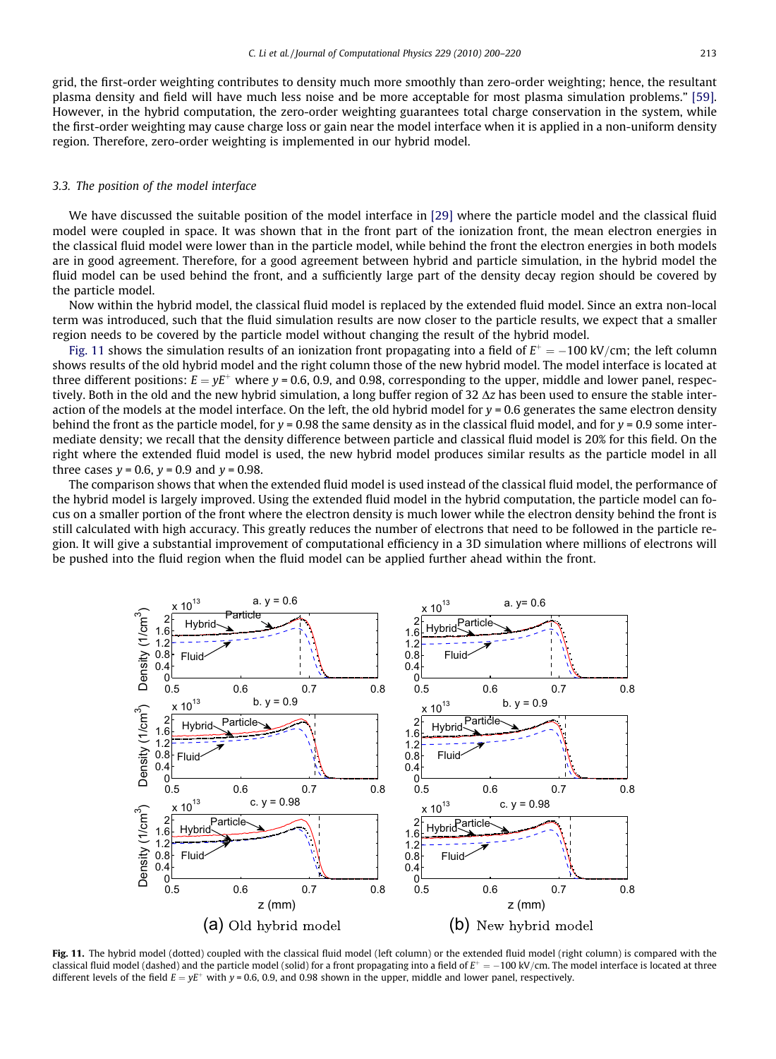grid, the first-order weighting contributes to density much more smoothly than zero-order weighting; hence, the resultant plasma density and field will have much less noise and be more acceptable for most plasma simulation problems." [\[59\]](#page-20-0). However, in the hybrid computation, the zero-order weighting guarantees total charge conservation in the system, while the first-order weighting may cause charge loss or gain near the model interface when it is applied in a non-uniform density region. Therefore, zero-order weighting is implemented in our hybrid model.

## 3.3. The position of the model interface

We have discussed the suitable position of the model interface in [\[29\]](#page-19-0) where the particle model and the classical fluid model were coupled in space. It was shown that in the front part of the ionization front, the mean electron energies in the classical fluid model were lower than in the particle model, while behind the front the electron energies in both models are in good agreement. Therefore, for a good agreement between hybrid and particle simulation, in the hybrid model the fluid model can be used behind the front, and a sufficiently large part of the density decay region should be covered by the particle model.

Now within the hybrid model, the classical fluid model is replaced by the extended fluid model. Since an extra non-local term was introduced, such that the fluid simulation results are now closer to the particle results, we expect that a smaller region needs to be covered by the particle model without changing the result of the hybrid model.

Fig. 11 shows the simulation results of an ionization front propagating into a field of  $E^+ = -100 \text{ kV/cm}$ ; the left column shows results of the old hybrid model and the right column those of the new hybrid model. The model interface is located at three different positions:  $E = yE^+$  where y = 0.6, 0.9, and 0.98, corresponding to the upper, middle and lower panel, respectively. Both in the old and the new hybrid simulation, a long buffer region of 32  $\Delta z$  has been used to ensure the stable interaction of the models at the model interface. On the left, the old hybrid model for  $v = 0.6$  generates the same electron density behind the front as the particle model, for  $y = 0.98$  the same density as in the classical fluid model, and for  $y = 0.9$  some intermediate density; we recall that the density difference between particle and classical fluid model is 20% for this field. On the right where the extended fluid model is used, the new hybrid model produces similar results as the particle model in all three cases  $v = 0.6$ ,  $v = 0.9$  and  $v = 0.98$ .

The comparison shows that when the extended fluid model is used instead of the classical fluid model, the performance of the hybrid model is largely improved. Using the extended fluid model in the hybrid computation, the particle model can focus on a smaller portion of the front where the electron density is much lower while the electron density behind the front is still calculated with high accuracy. This greatly reduces the number of electrons that need to be followed in the particle region. It will give a substantial improvement of computational efficiency in a 3D simulation where millions of electrons will be pushed into the fluid region when the fluid model can be applied further ahead within the front.



Fig. 11. The hybrid model (dotted) coupled with the classical fluid model (left column) or the extended fluid model (right column) is compared with the classical fluid model (dashed) and the particle model (solid) for a front propagating into a field of  $E^+ = -100$  kV/cm. The model interface is located at three different levels of the field  $E = yE^+$  with y = 0.6, 0.9, and 0.98 shown in the upper, middle and lower panel, respectively.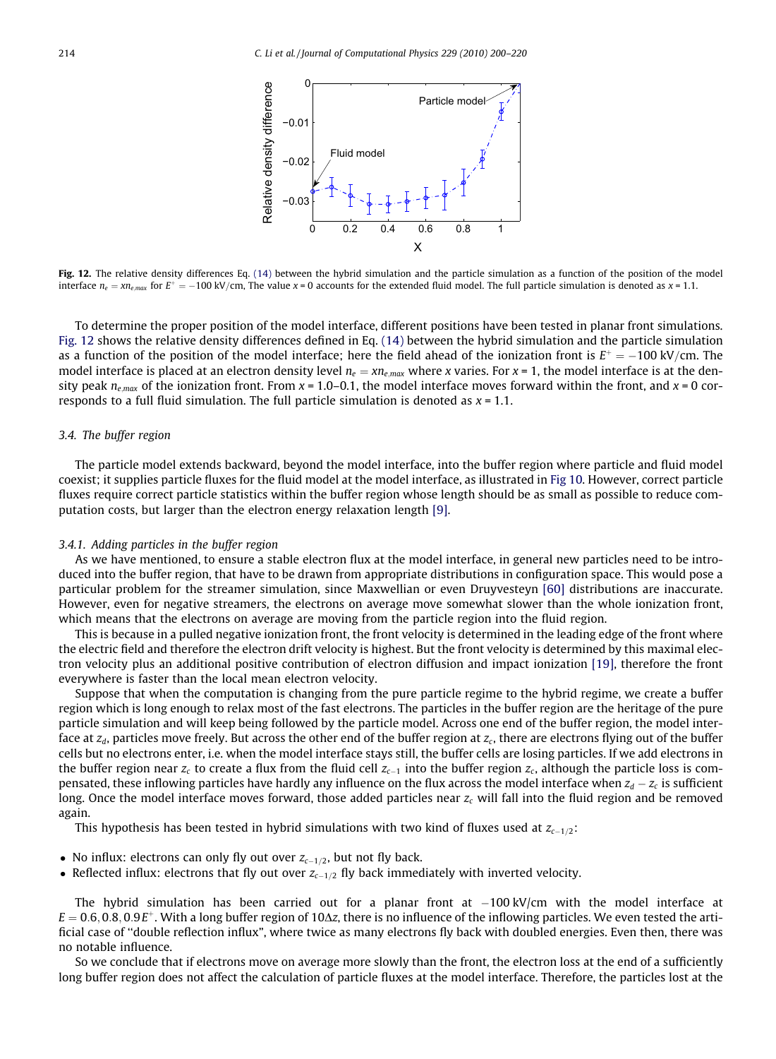

Fig. 12. The relative density differences Eq. [\(14\)](#page-9-0) between the hybrid simulation and the particle simulation as a function of the position of the model interface  $n_e = x n_{e,max}$  for  $E^+ = -100 \text{ kV/cm}$ , The value x = 0 accounts for the extended fluid model. The full particle simulation is denoted as x = 1.1.

To determine the proper position of the model interface, different positions have been tested in planar front simulations. Fig. 12 shows the relative density differences defined in Eq. [\(14\)](#page-9-0) between the hybrid simulation and the particle simulation as a function of the position of the model interface; here the field ahead of the ionization front is  $E^+ = -100 \text{ kV/cm}$ . The model interface is placed at an electron density level  $n_e = x n_{e,max}$  where x varies. For  $x = 1$ , the model interface is at the density peak  $n_{e,max}$  of the ionization front. From  $x = 1.0-0.1$ , the model interface moves forward within the front, and  $x = 0$  corresponds to a full fluid simulation. The full particle simulation is denoted as  $x = 1.1$ .

# 3.4. The buffer region

The particle model extends backward, beyond the model interface, into the buffer region where particle and fluid model coexist; it supplies particle fluxes for the fluid model at the model interface, as illustrated in [Fig 10.](#page-11-0) However, correct particle fluxes require correct particle statistics within the buffer region whose length should be as small as possible to reduce computation costs, but larger than the electron energy relaxation length [\[9\]](#page-19-0).

#### 3.4.1. Adding particles in the buffer region

As we have mentioned, to ensure a stable electron flux at the model interface, in general new particles need to be introduced into the buffer region, that have to be drawn from appropriate distributions in configuration space. This would pose a particular problem for the streamer simulation, since Maxwellian or even Druyvesteyn [\[60\]](#page-20-0) distributions are inaccurate. However, even for negative streamers, the electrons on average move somewhat slower than the whole ionization front, which means that the electrons on average are moving from the particle region into the fluid region.

This is because in a pulled negative ionization front, the front velocity is determined in the leading edge of the front where the electric field and therefore the electron drift velocity is highest. But the front velocity is determined by this maximal electron velocity plus an additional positive contribution of electron diffusion and impact ionization [\[19\],](#page-19-0) therefore the front everywhere is faster than the local mean electron velocity.

Suppose that when the computation is changing from the pure particle regime to the hybrid regime, we create a buffer region which is long enough to relax most of the fast electrons. The particles in the buffer region are the heritage of the pure particle simulation and will keep being followed by the particle model. Across one end of the buffer region, the model interface at  $z_d$ , particles move freely. But across the other end of the buffer region at  $z_c$ , there are electrons flying out of the buffer cells but no electrons enter, i.e. when the model interface stays still, the buffer cells are losing particles. If we add electrons in the buffer region near  $z_c$  to create a flux from the fluid cell  $z_{c-1}$  into the buffer region  $z_c$ , although the particle loss is compensated, these inflowing particles have hardly any influence on the flux across the model interface when  $z_d - z_c$  is sufficient long. Once the model interface moves forward, those added particles near  $z_c$  will fall into the fluid region and be removed again.

This hypothesis has been tested in hybrid simulations with two kind of fluxes used at  $z_{c-1/2}$ :

- No influx: electrons can only fly out over  $z_{c-1/2}$ , but not fly back.
- Reflected influx: electrons that fly out over  $z_{c-1/2}$  fly back immediately with inverted velocity.

The hybrid simulation has been carried out for a planar front at  $-100 \text{ kV/cm}$  with the model interface at  $E = 0.6, 0.8, 0.9E^+$ . With a long buffer region of 10 $\Delta z$ , there is no influence of the inflowing particles. We even tested the artificial case of ''double reflection influx", where twice as many electrons fly back with doubled energies. Even then, there was no notable influence.

So we conclude that if electrons move on average more slowly than the front, the electron loss at the end of a sufficiently long buffer region does not affect the calculation of particle fluxes at the model interface. Therefore, the particles lost at the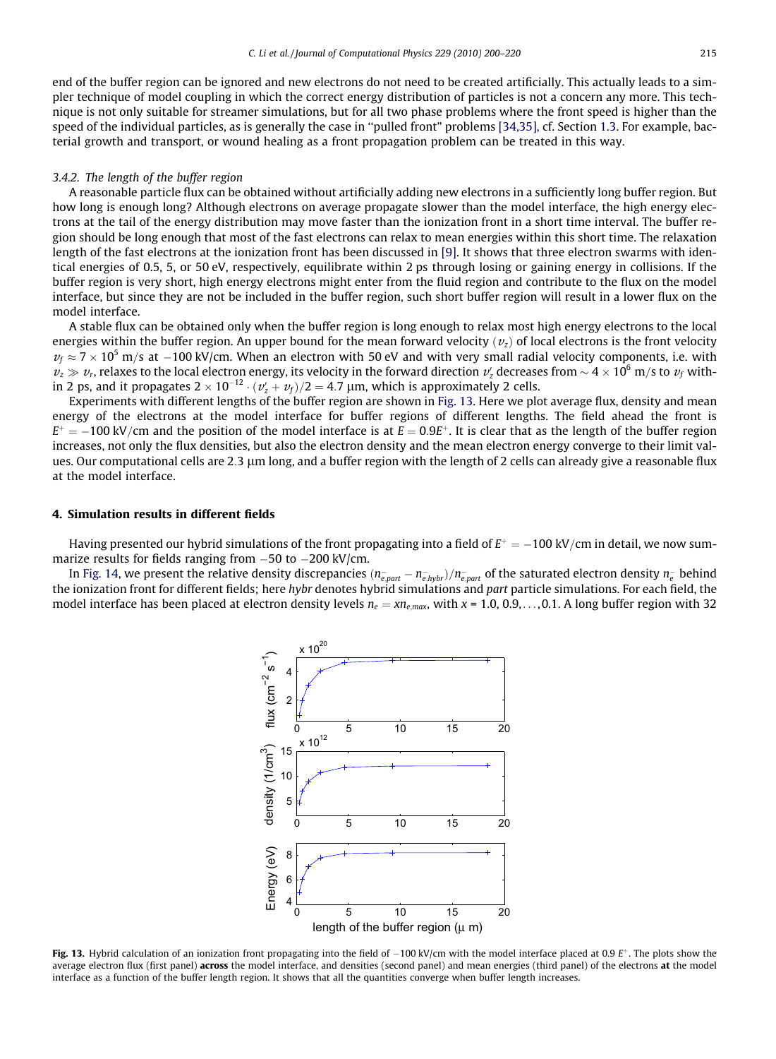end of the buffer region can be ignored and new electrons do not need to be created artificially. This actually leads to a simpler technique of model coupling in which the correct energy distribution of particles is not a concern any more. This technique is not only suitable for streamer simulations, but for all two phase problems where the front speed is higher than the speed of the individual particles, as is generally the case in ''pulled front" problems [\[34,35\],](#page-19-0) cf. Section 1.3. For example, bacterial growth and transport, or wound healing as a front propagation problem can be treated in this way.

#### 3.4.2. The length of the buffer region

A reasonable particle flux can be obtained without artificially adding new electrons in a sufficiently long buffer region. But how long is enough long? Although electrons on average propagate slower than the model interface, the high energy electrons at the tail of the energy distribution may move faster than the ionization front in a short time interval. The buffer region should be long enough that most of the fast electrons can relax to mean energies within this short time. The relaxation length of the fast electrons at the ionization front has been discussed in [\[9\]](#page-19-0). It shows that three electron swarms with identical energies of 0.5, 5, or 50 eV, respectively, equilibrate within 2 ps through losing or gaining energy in collisions. If the buffer region is very short, high energy electrons might enter from the fluid region and contribute to the flux on the model interface, but since they are not be included in the buffer region, such short buffer region will result in a lower flux on the model interface.

A stable flux can be obtained only when the buffer region is long enough to relax most high energy electrons to the local energies within the buffer region. An upper bound for the mean forward velocity  $(v<sub>z</sub>)$  of local electrons is the front velocity  $v_f \approx 7 \times 10^5$  m/s at  $-100$  kV/cm. When an electron with 50 eV and with very small radial velocity components, i.e. with  $v_z\gg v_r$ , relaxes to the local electron energy, its velocity in the forward direction  $v_z'$  decreases from  $\sim$  4  $\times$  10 $^6$  m/s to  $v_f$  within 2 ps, and it propagates 2  $\times$  10<sup>-12</sup>  $\cdot$  ( $v'_z + v_{\it f})/2 = 4.7$   $\mu$ m, which is approximately 2 cells.

Experiments with different lengths of the buffer region are shown in Fig. 13. Here we plot average flux, density and mean energy of the electrons at the model interface for buffer regions of different lengths. The field ahead the front is  $E^+ = -100 \text{ kV/cm}$  and the position of the model interface is at  $E = 0.9E^+$ . It is clear that as the length of the buffer region increases, not only the flux densities, but also the electron density and the mean electron energy converge to their limit values. Our computational cells are 2.3 µm long, and a buffer region with the length of 2 cells can already give a reasonable flux at the model interface.

# 4. Simulation results in different fields

Having presented our hybrid simulations of the front propagating into a field of  $E^+ = -100 \text{ kV/cm}$  in detail, we now summarize results for fields ranging from  $-50$  to  $-200$  kV/cm.

In [Fig. 14](#page-16-0), we present the relative density discrepancies  $(n_{e,part}-n_{e,hybr})/n_{e,part}^-$  of the saturated electron density  $n_{e}^-$  behind the ionization front for different fields; here hybr denotes hybrid simulations and part particle simulations. For each field, the model interface has been placed at electron density levels  $n_e = xn_{emax}$ , with  $x = 1.0, 0.9,..., 0.1$ . A long buffer region with 32



Fig. 13. Hybrid calculation of an ionization front propagating into the field of  $-100$  kV/cm with the model interface placed at 0.9  $E^+$ . The plots show the average electron flux (first panel) across the model interface, and densities (second panel) and mean energies (third panel) of the electrons at the model interface as a function of the buffer length region. It shows that all the quantities converge when buffer length increases.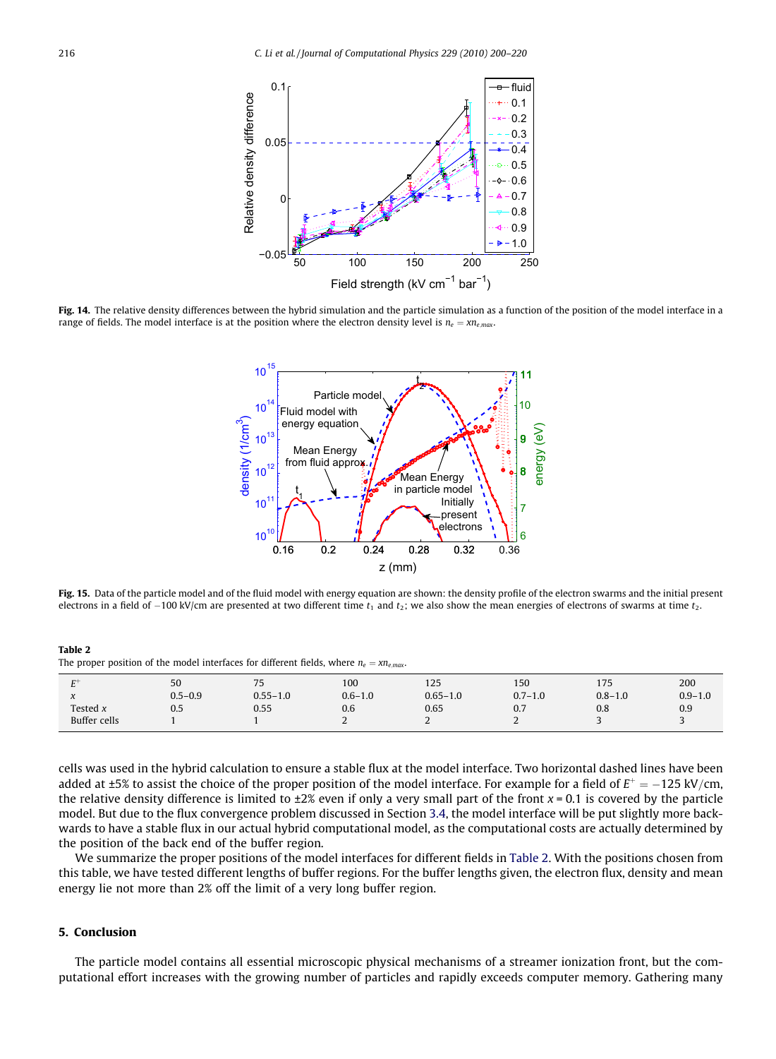<span id="page-16-0"></span>

Fig. 14. The relative density differences between the hybrid simulation and the particle simulation as a function of the position of the model interface in a range of fields. The model interface is at the position where the electron density level is  $n_e = x n_{e,max}$ .



Fig. 15. Data of the particle model and of the fluid model with energy equation are shown: the density profile of the electron swarms and the initial present electrons in a field of  $-100$  kV/cm are presented at two different time  $t_1$  and  $t_2$ ; we also show the mean energies of electrons of swarms at time  $t_2$ .

Table 2 The proper position of the model interfaces for different fields, where  $n_e = x n_{e,max}$ .

| <b>The Contract of the Contract of the Contract of the Contract of the Contract of the Contract of the Contract of the Contract of the Contract of the Contract of the Contract of the Contract of the Contract of the Contract </b><br>∸ | 50          | 7 <sub>E</sub><br>ر ، | 100         | 125          | 150         | 175         | 200         |
|-------------------------------------------------------------------------------------------------------------------------------------------------------------------------------------------------------------------------------------------|-------------|-----------------------|-------------|--------------|-------------|-------------|-------------|
| $\Lambda$                                                                                                                                                                                                                                 | $0.5 - 0.9$ | $0.55 - 1.0$          | $0.6 - 1.0$ | $0.65 - 1.0$ | $0.7 - 1.0$ | $0.8 - 1.0$ | $0.9 - 1.0$ |
| Tested $x$                                                                                                                                                                                                                                | U.5         | 0.55                  | 0.6         | 0.65         | 0.7         | 0.8         | 0.9         |
| Buffer cells                                                                                                                                                                                                                              |             |                       | ∼           | ∽<br>∼       | ∼           |             |             |

cells was used in the hybrid calculation to ensure a stable flux at the model interface. Two horizontal dashed lines have been added at ±5% to assist the choice of the proper position of the model interface. For example for a field of  $E^+ = -125 \text{ kV/cm}$ , the relative density difference is limited to  $\pm 2\%$  even if only a very small part of the front  $x = 0.1$  is covered by the particle model. But due to the flux convergence problem discussed in Section 3.4, the model interface will be put slightly more backwards to have a stable flux in our actual hybrid computational model, as the computational costs are actually determined by the position of the back end of the buffer region.

We summarize the proper positions of the model interfaces for different fields in Table 2. With the positions chosen from this table, we have tested different lengths of buffer regions. For the buffer lengths given, the electron flux, density and mean energy lie not more than 2% off the limit of a very long buffer region.

# 5. Conclusion

The particle model contains all essential microscopic physical mechanisms of a streamer ionization front, but the computational effort increases with the growing number of particles and rapidly exceeds computer memory. Gathering many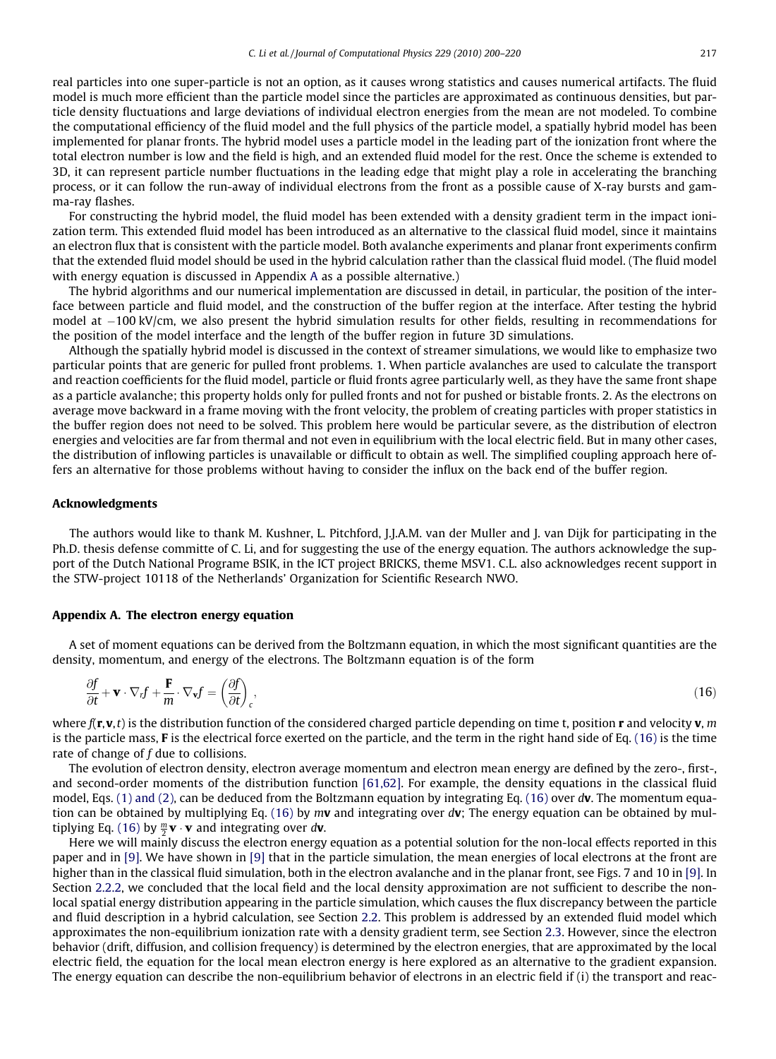real particles into one super-particle is not an option, as it causes wrong statistics and causes numerical artifacts. The fluid model is much more efficient than the particle model since the particles are approximated as continuous densities, but particle density fluctuations and large deviations of individual electron energies from the mean are not modeled. To combine the computational efficiency of the fluid model and the full physics of the particle model, a spatially hybrid model has been implemented for planar fronts. The hybrid model uses a particle model in the leading part of the ionization front where the total electron number is low and the field is high, and an extended fluid model for the rest. Once the scheme is extended to 3D, it can represent particle number fluctuations in the leading edge that might play a role in accelerating the branching process, or it can follow the run-away of individual electrons from the front as a possible cause of X-ray bursts and gamma-ray flashes.

For constructing the hybrid model, the fluid model has been extended with a density gradient term in the impact ionization term. This extended fluid model has been introduced as an alternative to the classical fluid model, since it maintains an electron flux that is consistent with the particle model. Both avalanche experiments and planar front experiments confirm that the extended fluid model should be used in the hybrid calculation rather than the classical fluid model. (The fluid model with energy equation is discussed in Appendix A as a possible alternative.)

The hybrid algorithms and our numerical implementation are discussed in detail, in particular, the position of the interface between particle and fluid model, and the construction of the buffer region at the interface. After testing the hybrid model at  $-100$  kV/cm, we also present the hybrid simulation results for other fields, resulting in recommendations for the position of the model interface and the length of the buffer region in future 3D simulations.

Although the spatially hybrid model is discussed in the context of streamer simulations, we would like to emphasize two particular points that are generic for pulled front problems. 1. When particle avalanches are used to calculate the transport and reaction coefficients for the fluid model, particle or fluid fronts agree particularly well, as they have the same front shape as a particle avalanche; this property holds only for pulled fronts and not for pushed or bistable fronts. 2. As the electrons on average move backward in a frame moving with the front velocity, the problem of creating particles with proper statistics in the buffer region does not need to be solved. This problem here would be particular severe, as the distribution of electron energies and velocities are far from thermal and not even in equilibrium with the local electric field. But in many other cases, the distribution of inflowing particles is unavailable or difficult to obtain as well. The simplified coupling approach here offers an alternative for those problems without having to consider the influx on the back end of the buffer region.

#### Acknowledgments

The authors would like to thank M. Kushner, L. Pitchford, J.J.A.M. van der Muller and J. van Dijk for participating in the Ph.D. thesis defense committe of C. Li, and for suggesting the use of the energy equation. The authors acknowledge the support of the Dutch National Programe BSIK, in the ICT project BRICKS, theme MSV1. C.L. also acknowledges recent support in the STW-project 10118 of the Netherlands' Organization for Scientific Research NWO.

## Appendix A. The electron energy equation

A set of moment equations can be derived from the Boltzmann equation, in which the most significant quantities are the density, momentum, and energy of the electrons. The Boltzmann equation is of the form

$$
\frac{\partial f}{\partial t} + \mathbf{v} \cdot \nabla_r f + \frac{\mathbf{F}}{m} \cdot \nabla_{\mathbf{v}} f = \left(\frac{\partial f}{\partial t}\right)_c, \tag{16}
$$

where  $f(\mathbf{r},\mathbf{v},t)$  is the distribution function of the considered charged particle depending on time t, position  $\mathbf{r}$  and velocity  $\mathbf{v}, m$ is the particle mass, F is the electrical force exerted on the particle, and the term in the right hand side of Eq. (16) is the time rate of change of  $f$  due to collisions.

The evolution of electron density, electron average momentum and electron mean energy are defined by the zero-, first-, and second-order moments of the distribution function [\[61,62\]](#page-20-0). For example, the density equations in the classical fluid model, Eqs. [\(1\) and \(2\),](#page-3-0) can be deduced from the Boltzmann equation by integrating Eq. (16) over dv. The momentum equation can be obtained by multiplying Eq. (16) by  $m\mathbf{v}$  and integrating over dv; The energy equation can be obtained by multiplying Eq. (16) by  $\frac{m}{2}\mathbf{v}\cdot\mathbf{v}$  and integrating over  $d\mathbf{v}$ .

Here we will mainly discuss the electron energy equation as a potential solution for the non-local effects reported in this paper and in [\[9\].](#page-19-0) We have shown in [\[9\]](#page-19-0) that in the particle simulation, the mean energies of local electrons at the front are higher than in the classical fluid simulation, both in the electron avalanche and in the planar front, see Figs. 7 and 10 in [\[9\].](#page-19-0) In Section 2.2.2, we concluded that the local field and the local density approximation are not sufficient to describe the nonlocal spatial energy distribution appearing in the particle simulation, which causes the flux discrepancy between the particle and fluid description in a hybrid calculation, see Section 2.2. This problem is addressed by an extended fluid model which approximates the non-equilibrium ionization rate with a density gradient term, see Section 2.3. However, since the electron behavior (drift, diffusion, and collision frequency) is determined by the electron energies, that are approximated by the local electric field, the equation for the local mean electron energy is here explored as an alternative to the gradient expansion. The energy equation can describe the non-equilibrium behavior of electrons in an electric field if (i) the transport and reac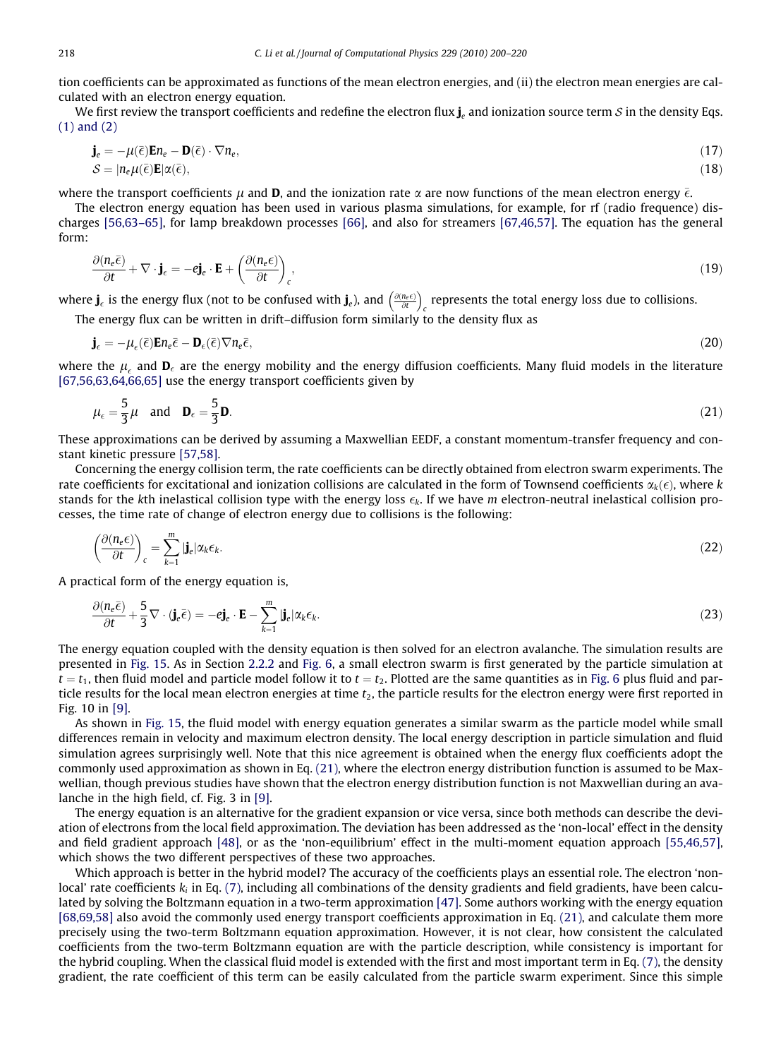tion coefficients can be approximated as functions of the mean electron energies, and (ii) the electron mean energies are calculated with an electron energy equation.

We first review the transport coefficients and redefine the electron flux  $j_e$  and ionization source term  $S$  in the density Eqs. [\(1\) and \(2\)](#page-3-0)

$$
\mathbf{j}_e = -\mu(\bar{\epsilon})\mathbf{E}n_e - \mathbf{D}(\bar{\epsilon}) \cdot \nabla n_e, \mathcal{S} = |n_e\mu(\bar{\epsilon})\mathbf{E}|\alpha(\bar{\epsilon}),
$$
\n(17)

where the transport coefficients  $\mu$  and D, and the ionization rate  $\alpha$  are now functions of the mean electron energy  $\bar{\epsilon}$ .

The electron energy equation has been used in various plasma simulations, for example, for rf (radio frequence) discharges [\[56,63–65\]](#page-20-0), for lamp breakdown processes [\[66\]](#page-20-0), and also for streamers [\[67,46,57\]](#page-20-0). The equation has the general form:

$$
\frac{\partial (n_e \bar{\epsilon})}{\partial t} + \nabla \cdot \mathbf{j}_{\epsilon} = -e \mathbf{j}_{e} \cdot \mathbf{E} + \left( \frac{\partial (n_e \epsilon)}{\partial t} \right)_{c},\tag{19}
$$

where  $\mathbf{j}_\epsilon$  is the energy flux (not to be confused with  $\mathbf{j}_e$ ), and  $\left(\frac{\partial (n_e \epsilon)}{\partial t}\right)$  $\sqrt{a(n-\epsilon)}$  $\frac{c}{c}$  represents the total energy loss due to collisions.

The energy flux can be written in drift–diffusion form similarly to the density flux as

$$
\mathbf{j}_{\epsilon} = -\mu_{\epsilon}(\bar{\epsilon})\mathbf{E}n_{\epsilon}\bar{\epsilon} - \mathbf{D}_{\epsilon}(\bar{\epsilon})\nabla n_{\epsilon}\bar{\epsilon},\tag{20}
$$

where the  $\mu_\epsilon$  and  $\mathbf{D}_\epsilon$  are the energy mobility and the energy diffusion coefficients. Many fluid models in the literature [\[67,56,63,64,66,65\]](#page-20-0) use the energy transport coefficients given by

$$
\mu_{\epsilon} = \frac{5}{3} \mu \quad \text{and} \quad \mathbf{D}_{\epsilon} = \frac{5}{3} \mathbf{D}.\tag{21}
$$

These approximations can be derived by assuming a Maxwellian EEDF, a constant momentum-transfer frequency and constant kinetic pressure [\[57,58\].](#page-20-0)

Concerning the energy collision term, the rate coefficients can be directly obtained from electron swarm experiments. The rate coefficients for excitational and ionization collisions are calculated in the form of Townsend coefficients  $\alpha_k(\epsilon)$ , where k stands for the kth inelastical collision type with the energy loss  $\epsilon_k$ . If we have m electron-neutral inelastical collision processes, the time rate of change of electron energy due to collisions is the following:

$$
\left(\frac{\partial(n_e \epsilon)}{\partial t}\right)_c = \sum_{k=1}^m |\mathbf{j}_e| \alpha_k \epsilon_k.
$$
\n(22)

A practical form of the energy equation is,

$$
\frac{\partial (n_e \bar{\epsilon})}{\partial t} + \frac{5}{3} \nabla \cdot (\mathbf{j}_e \bar{\epsilon}) = -e \mathbf{j}_e \cdot \mathbf{E} - \sum_{k=1}^m |\mathbf{j}_e| \alpha_k \epsilon_k.
$$
\n(23)

The energy equation coupled with the density equation is then solved for an electron avalanche. The simulation results are presented in [Fig. 15](#page-16-0). As in Section 2.2.2 and [Fig. 6](#page-7-0), a small electron swarm is first generated by the particle simulation at  $t = t<sub>1</sub>$ , then fluid model and particle model follow it to  $t = t<sub>2</sub>$ . Plotted are the same quantities as in [Fig. 6](#page-7-0) plus fluid and particle results for the local mean electron energies at time  $t<sub>2</sub>$ , the particle results for the electron energy were first reported in Fig. 10 in [\[9\].](#page-19-0)

As shown in [Fig. 15](#page-16-0), the fluid model with energy equation generates a similar swarm as the particle model while small differences remain in velocity and maximum electron density. The local energy description in particle simulation and fluid simulation agrees surprisingly well. Note that this nice agreement is obtained when the energy flux coefficients adopt the commonly used approximation as shown in Eq. (21), where the electron energy distribution function is assumed to be Maxwellian, though previous studies have shown that the electron energy distribution function is not Maxwellian during an avalanche in the high field, cf. Fig. 3 in [\[9\]](#page-19-0).

The energy equation is an alternative for the gradient expansion or vice versa, since both methods can describe the deviation of electrons from the local field approximation. The deviation has been addressed as the 'non-local' effect in the density and field gradient approach [\[48\],](#page-20-0) or as the 'non-equilibrium' effect in the multi-moment equation approach [\[55,46,57\],](#page-20-0) which shows the two different perspectives of these two approaches.

Which approach is better in the hybrid model? The accuracy of the coefficients plays an essential role. The electron 'nonlocal' rate coefficients  $k_i$  in Eq. [\(7\),](#page-5-0) including all combinations of the density gradients and field gradients, have been calculated by solving the Boltzmann equation in a two-term approximation [\[47\].](#page-19-0) Some authors working with the energy equation [\[68,69,58\]](#page-20-0) also avoid the commonly used energy transport coefficients approximation in Eq. (21), and calculate them more precisely using the two-term Boltzmann equation approximation. However, it is not clear, how consistent the calculated coefficients from the two-term Boltzmann equation are with the particle description, while consistency is important for the hybrid coupling. When the classical fluid model is extended with the first and most important term in Eq. [\(7\),](#page-5-0) the density gradient, the rate coefficient of this term can be easily calculated from the particle swarm experiment. Since this simple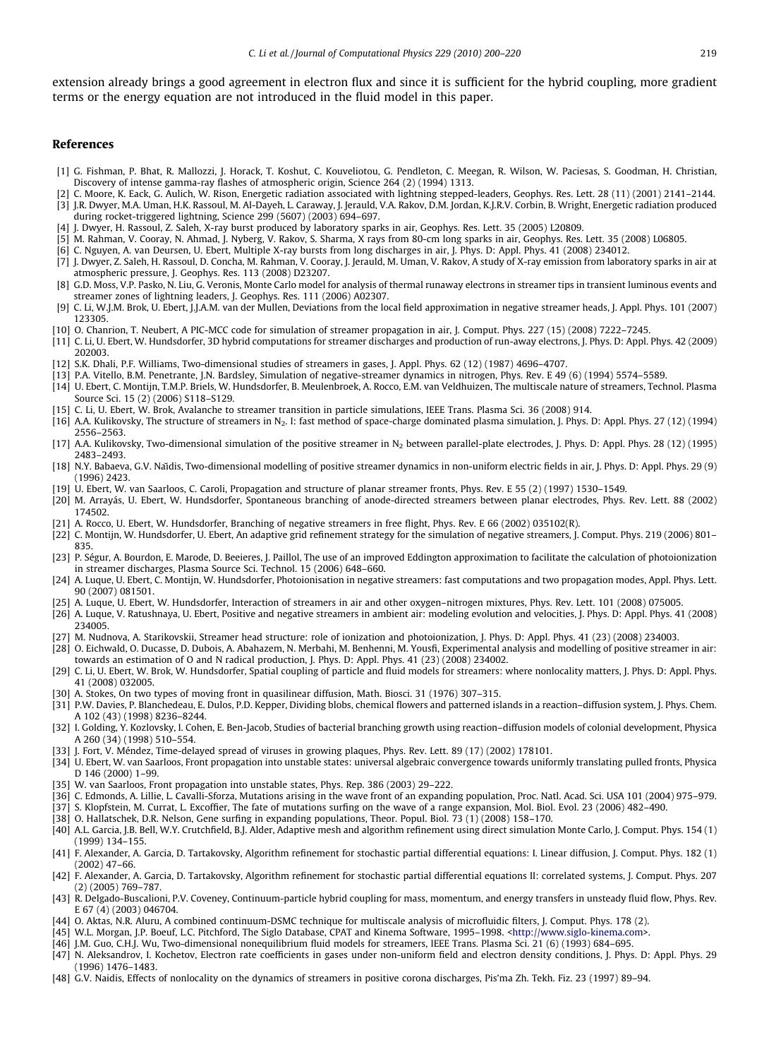<span id="page-19-0"></span>extension already brings a good agreement in electron flux and since it is sufficient for the hybrid coupling, more gradient terms or the energy equation are not introduced in the fluid model in this paper.

## References

- [1] G. Fishman, P. Bhat, R. Mallozzi, J. Horack, T. Koshut, C. Kouveliotou, G. Pendleton, C. Meegan, R. Wilson, W. Paciesas, S. Goodman, H. Christian, Discovery of intense gamma-ray flashes of atmospheric origin, Science 264 (2) (1994) 1313.
- [2] C. Moore, K. Eack, G. Aulich, W. Rison, Energetic radiation associated with lightning stepped-leaders, Geophys. Res. Lett. 28 (11) (2001) 2141–2144. [3] J.R. Dwyer, M.A. Uman, H.K. Rassoul, M. Al-Dayeh, L. Caraway, J. Jerauld, V.A. Rakov, D.M. Jordan, K.J.R.V. Corbin, B. Wright, Energetic radiation produced during rocket-triggered lightning, Science 299 (5607) (2003) 694–697.
- [4] J. Dwyer, H. Rassoul, Z. Saleh, X-ray burst produced by laboratory sparks in air, Geophys. Res. Lett. 35 (2005) L20809.
- [5] M. Rahman, V. Cooray, N. Ahmad, J. Nyberg, V. Rakov, S. Sharma, X rays from 80-cm long sparks in air, Geophys. Res. Lett. 35 (2008) L06805.
- [6] C. Nguyen, A. van Deursen, U. Ebert, Multiple X-ray bursts from long discharges in air, J. Phys. D: Appl. Phys. 41 (2008) 234012.
- [7] J. Dwyer, Z. Saleh, H. Rassoul, D. Concha, M. Rahman, V. Cooray, J. Jerauld, M. Uman, V. Rakov, A study of X-ray emission from laboratory sparks in air at atmospheric pressure, J. Geophys. Res. 113 (2008) D23207.
- [8] G.D. Moss, V.P. Pasko, N. Liu, G. Veronis, Monte Carlo model for analysis of thermal runaway electrons in streamer tips in transient luminous events and streamer zones of lightning leaders, J. Geophys. Res. 111 (2006) A02307.
- [9] C. Li, W.J.M. Brok, U. Ebert, J.J.A.M. van der Mullen, Deviations from the local field approximation in negative streamer heads, J. Appl. Phys. 101 (2007) 123305.
- [10] O. Chanrion, T. Neubert, A PIC-MCC code for simulation of streamer propagation in air, J. Comput. Phys. 227 (15) (2008) 7222–7245.
- [11] C. Li, U. Ebert, W. Hundsdorfer, 3D hybrid computations for streamer discharges and production of run-away electrons, J. Phys. D: Appl. Phys. 42 (2009) 202003.
- [12] S.K. Dhali, P.F. Williams, Two-dimensional studies of streamers in gases, J. Appl. Phys. 62 (12) (1987) 4696–4707.
- [13] P.A. Vitello, B.M. Penetrante, J.N. Bardsley, Simulation of negative-streamer dynamics in nitrogen, Phys. Rev. E 49 (6) (1994) 5574–5589.
- [14] U. Ebert, C. Montijn, T.M.P. Briels, W. Hundsdorfer, B. Meulenbroek, A. Rocco, E.M. van Veldhuizen, The multiscale nature of streamers, Technol. Plasma Source Sci. 15 (2) (2006) S118–S129.
- [15] C. Li, U. Ebert, W. Brok, Avalanche to streamer transition in particle simulations, IEEE Trans. Plasma Sci. 36 (2008) 914.
- [16] A.A. Kulikovsky, The structure of streamers in N2. I: fast method of space-charge dominated plasma simulation, J. Phys. D: Appl. Phys. 27 (12) (1994) 2556–2563.
- [17] A.A. Kulikovsky, Two-dimensional simulation of the positive streamer in N<sub>2</sub> between parallel-plate electrodes, J. Phys. D: Appl. Phys. 28 (12) (1995) 2483–2493.
- [18] N.Y. Babaeva, G.V. Naidis, Two-dimensional modelling of positive streamer dynamics in non-uniform electric fields in air, J. Phys. D: Appl. Phys. 29 (9) (1996) 2423.
- [19] U. Ebert, W. van Saarloos, C. Caroli, Propagation and structure of planar streamer fronts, Phys. Rev. E 55 (2) (1997) 1530–1549.
- [20] M. Arrayás, U. Ebert, W. Hundsdorfer, Spontaneous branching of anode-directed streamers between planar electrodes, Phys. Rev. Lett. 88 (2002) 174502.
- [21] A. Rocco, U. Ebert, W. Hundsdorfer, Branching of negative streamers in free flight, Phys. Rev. E 66 (2002) 035102(R).
- [22] C. Montijn, W. Hundsdorfer, U. Ebert, An adaptive grid refinement strategy for the simulation of negative streamers, J. Comput. Phys. 219 (2006) 801– 835.
- [23] P. Ségur, A. Bourdon, E. Marode, D. Beeieres, J. Paillol, The use of an improved Eddington approximation to facilitate the calculation of photoionization in streamer discharges, Plasma Source Sci. Technol. 15 (2006) 648–660.
- [24] A. Luque, U. Ebert, C. Montijn, W. Hundsdorfer, Photoionisation in negative streamers: fast computations and two propagation modes, Appl. Phys. Lett. 90 (2007) 081501.
- [25] A. Luque, U. Ebert, W. Hundsdorfer, Interaction of streamers in air and other oxygen–nitrogen mixtures, Phys. Rev. Lett. 101 (2008) 075005.
- [26] A. Luque, V. Ratushnaya, U. Ebert, Positive and negative streamers in ambient air: modeling evolution and velocities, J. Phys. D: Appl. Phys. 41 (2008) 234005.
- [27] M. Nudnova, A. Starikovskii, Streamer head structure: role of ionization and photoionization, J. Phys. D: Appl. Phys. 41 (23) (2008) 234003.
- [28] O. Eichwald, O. Ducasse, D. Dubois, A. Abahazem, N. Merbahi, M. Benhenni, M. Yousfi, Experimental analysis and modelling of positive streamer in air: towards an estimation of O and N radical production, J. Phys. D: Appl. Phys. 41 (23) (2008) 234002.
- [29] C. Li, U. Ebert, W. Brok, W. Hundsdorfer, Spatial coupling of particle and fluid models for streamers: where nonlocality matters, J. Phys. D: Appl. Phys. 41 (2008) 032005.
- [30] A. Stokes, On two types of moving front in quasilinear diffusion, Math. Biosci. 31 (1976) 307–315.
- [31] P.W. Davies, P. Blanchedeau, E. Dulos, P.D. Kepper, Dividing blobs, chemical flowers and patterned islands in a reaction–diffusion system, J. Phys. Chem. A 102 (43) (1998) 8236–8244.
- [32] I. Golding, Y. Kozlovsky, I. Cohen, E. Ben-Jacob, Studies of bacterial branching growth using reaction–diffusion models of colonial development, Physica A 260 (34) (1998) 510–554.
- [33] J. Fort, V. Méndez, Time-delayed spread of viruses in growing plaques, Phys. Rev. Lett. 89 (17) (2002) 178101.
- [34] U. Ebert, W. van Saarloos, Front propagation into unstable states: universal algebraic convergence towards uniformly translating pulled fronts, Physica D 146 (2000) 1–99.
- [35] W. van Saarloos, Front propagation into unstable states, Phys. Rep. 386 (2003) 29-222.
- [36] C. Edmonds, A. Lillie, L. Cavalli-Sforza, Mutations arising in the wave front of an expanding population, Proc. Natl. Acad. Sci. USA 101 (2004) 975–979.
- [37] S. Klopfstein, M. Currat, L. Excoffier, The fate of mutations surfing on the wave of a range expansion, Mol. Biol. Evol. 23 (2006) 482–490.
- [38] O. Hallatschek, D.R. Nelson, Gene surfing in expanding populations, Theor. Popul. Biol. 73 (1) (2008) 158–170.
- [40] A.L. Garcia, J.B. Bell, W.Y. Crutchfield, B.J. Alder, Adaptive mesh and algorithm refinement using direct simulation Monte Carlo, J. Comput. Phys. 154 (1) (1999) 134–155.
- [41] F. Alexander, A. Garcia, D. Tartakovsky, Algorithm refinement for stochastic partial differential equations: I. Linear diffusion, J. Comput. Phys. 182 (1) (2002) 47–66.
- [42] F. Alexander, A. Garcia, D. Tartakovsky, Algorithm refinement for stochastic partial differential equations II: correlated systems, J. Comput. Phys. 207 (2) (2005) 769–787.
- [43] R. Delgado-Buscalioni, P.V. Coveney, Continuum-particle hybrid coupling for mass, momentum, and energy transfers in unsteady fluid flow, Phys. Rev. E 67 (4) (2003) 046704.
- [44] O. Aktas, N.R. Aluru, A combined continuum-DSMC technique for multiscale analysis of microfluidic filters, J. Comput. Phys. 178 (2).
- [45] W.L. Morgan, J.P. Boeuf, L.C. Pitchford, The Siglo Database, CPAT and Kinema Software, 1995–1998. <<http://www.siglo-kinema.com>>.
- [46] J.M. Guo, C.H.J. Wu, Two-dimensional nonequilibrium fluid models for streamers, IEEE Trans. Plasma Sci. 21 (6) (1993) 684–695.
- [47] N. Aleksandrov, I. Kochetov, Electron rate coefficients in gases under non-uniform field and electron density conditions, J. Phys. D: Appl. Phys. 29 (1996) 1476–1483.
- [48] G.V. Naidis, Effects of nonlocality on the dynamics of streamers in positive corona discharges, Pis'ma Zh. Tekh. Fiz. 23 (1997) 89–94.